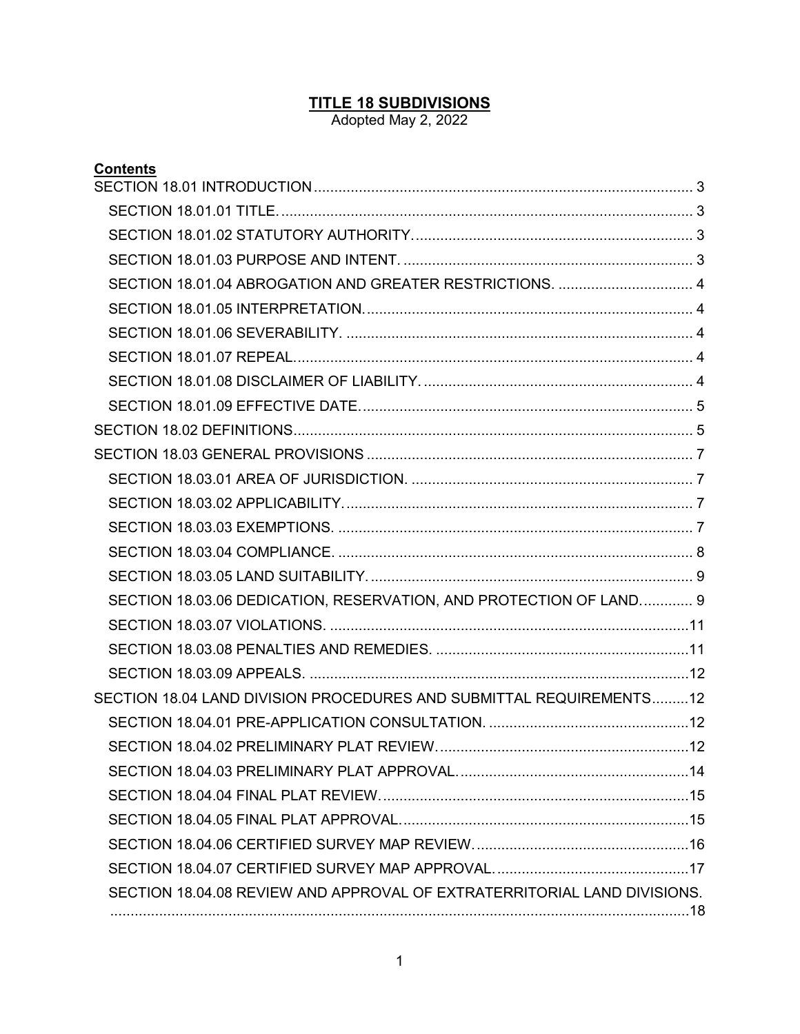### **TITLE 18 SUBDIVISIONS**

Adopted May 2, 2022

| <b>Contents</b>                                                          |  |  |  |  |
|--------------------------------------------------------------------------|--|--|--|--|
|                                                                          |  |  |  |  |
|                                                                          |  |  |  |  |
|                                                                          |  |  |  |  |
|                                                                          |  |  |  |  |
| SECTION 18.01.04 ABROGATION AND GREATER RESTRICTIONS.  4                 |  |  |  |  |
|                                                                          |  |  |  |  |
|                                                                          |  |  |  |  |
|                                                                          |  |  |  |  |
|                                                                          |  |  |  |  |
|                                                                          |  |  |  |  |
|                                                                          |  |  |  |  |
|                                                                          |  |  |  |  |
|                                                                          |  |  |  |  |
|                                                                          |  |  |  |  |
|                                                                          |  |  |  |  |
|                                                                          |  |  |  |  |
|                                                                          |  |  |  |  |
| SECTION 18.03.06 DEDICATION, RESERVATION, AND PROTECTION OF LAND 9       |  |  |  |  |
|                                                                          |  |  |  |  |
|                                                                          |  |  |  |  |
|                                                                          |  |  |  |  |
| SECTION 18.04 LAND DIVISION PROCEDURES AND SUBMITTAL REQUIREMENTS12      |  |  |  |  |
|                                                                          |  |  |  |  |
|                                                                          |  |  |  |  |
|                                                                          |  |  |  |  |
|                                                                          |  |  |  |  |
|                                                                          |  |  |  |  |
|                                                                          |  |  |  |  |
|                                                                          |  |  |  |  |
| SECTION 18.04.08 REVIEW AND APPROVAL OF EXTRATERRITORIAL LAND DIVISIONS. |  |  |  |  |
|                                                                          |  |  |  |  |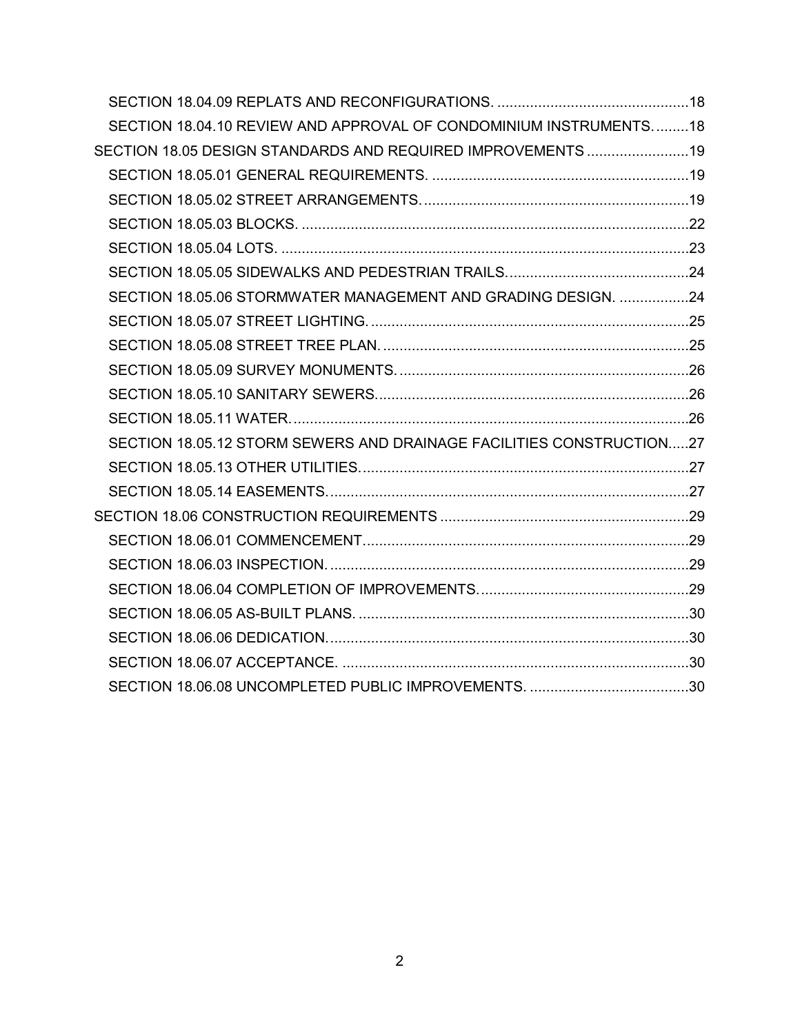| SECTION 18.04.10 REVIEW AND APPROVAL OF CONDOMINIUM INSTRUMENTS18    |  |
|----------------------------------------------------------------------|--|
| SECTION 18.05 DESIGN STANDARDS AND REQUIRED IMPROVEMENTS 19          |  |
|                                                                      |  |
|                                                                      |  |
|                                                                      |  |
|                                                                      |  |
|                                                                      |  |
| SECTION 18.05.06 STORMWATER MANAGEMENT AND GRADING DESIGN. 24        |  |
|                                                                      |  |
|                                                                      |  |
|                                                                      |  |
|                                                                      |  |
|                                                                      |  |
| SECTION 18.05.12 STORM SEWERS AND DRAINAGE FACILITIES CONSTRUCTION27 |  |
|                                                                      |  |
|                                                                      |  |
|                                                                      |  |
|                                                                      |  |
|                                                                      |  |
|                                                                      |  |
|                                                                      |  |
|                                                                      |  |
|                                                                      |  |
|                                                                      |  |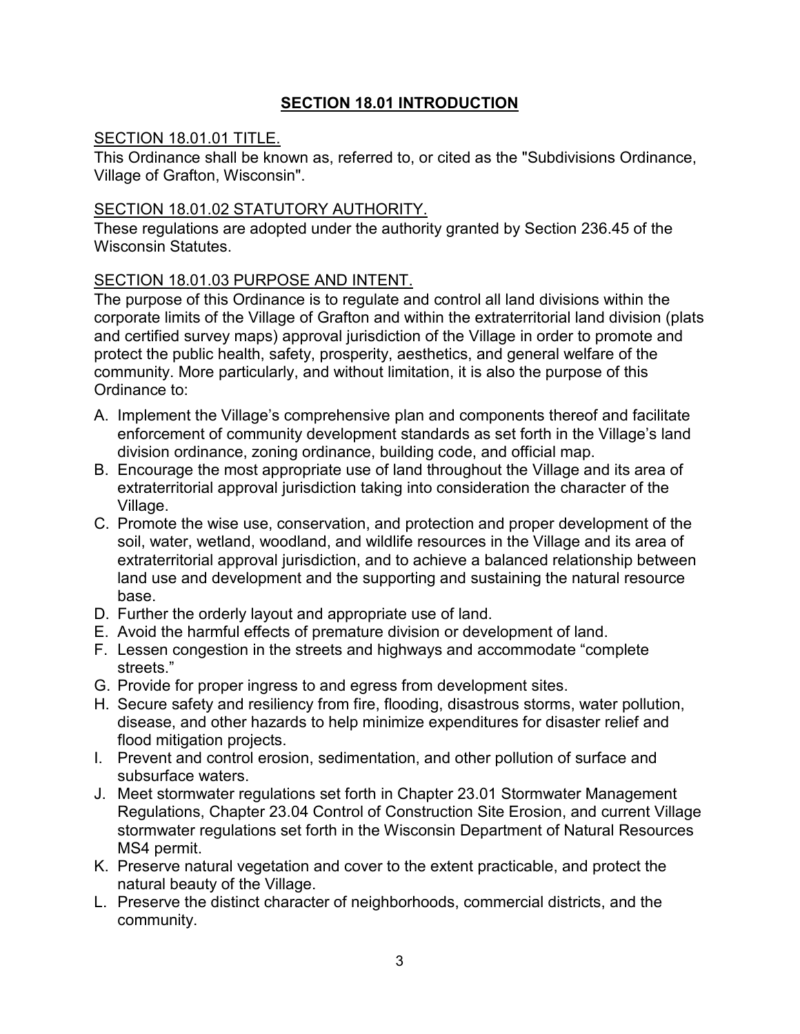# **SECTION 18.01 INTRODUCTION**

### <span id="page-2-1"></span><span id="page-2-0"></span>SECTION 18.01.01 TITLE.

This Ordinance shall be known as, referred to, or cited as the "Subdivisions Ordinance, Village of Grafton, Wisconsin".

## <span id="page-2-2"></span>SECTION 18.01.02 STATUTORY AUTHORITY.

These regulations are adopted under the authority granted by Section 236.45 of the Wisconsin Statutes

### <span id="page-2-3"></span>SECTION 18.01.03 PURPOSE AND INTENT.

The purpose of this Ordinance is to regulate and control all land divisions within the corporate limits of the Village of Grafton and within the extraterritorial land division (plats and certified survey maps) approval jurisdiction of the Village in order to promote and protect the public health, safety, prosperity, aesthetics, and general welfare of the community. More particularly, and without limitation, it is also the purpose of this Ordinance to:

- A. Implement the Village's comprehensive plan and components thereof and facilitate enforcement of community development standards as set forth in the Village's land division ordinance, zoning ordinance, building code, and official map.
- B. Encourage the most appropriate use of land throughout the Village and its area of extraterritorial approval jurisdiction taking into consideration the character of the Village.
- C. Promote the wise use, conservation, and protection and proper development of the soil, water, wetland, woodland, and wildlife resources in the Village and its area of extraterritorial approval jurisdiction, and to achieve a balanced relationship between land use and development and the supporting and sustaining the natural resource base.
- D. Further the orderly layout and appropriate use of land.
- E. Avoid the harmful effects of premature division or development of land.
- F. Lessen congestion in the streets and highways and accommodate "complete streets."
- G. Provide for proper ingress to and egress from development sites.
- H. Secure safety and resiliency from fire, flooding, disastrous storms, water pollution, disease, and other hazards to help minimize expenditures for disaster relief and flood mitigation projects.
- I. Prevent and control erosion, sedimentation, and other pollution of surface and subsurface waters.
- J. Meet stormwater regulations set forth in Chapter 23.01 Stormwater Management Regulations, Chapter 23.04 Control of Construction Site Erosion, and current Village stormwater regulations set forth in the Wisconsin Department of Natural Resources MS4 permit.
- K. Preserve natural vegetation and cover to the extent practicable, and protect the natural beauty of the Village.
- L. Preserve the distinct character of neighborhoods, commercial districts, and the community.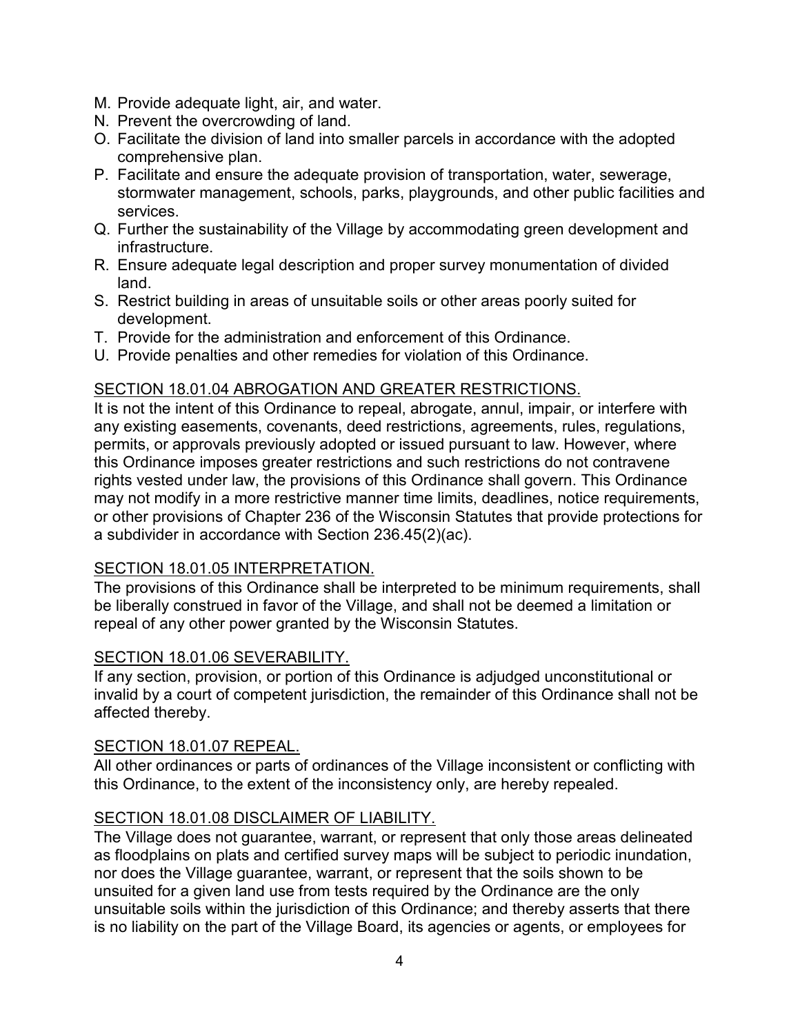- M. Provide adequate light, air, and water.
- N. Prevent the overcrowding of land.
- O. Facilitate the division of land into smaller parcels in accordance with the adopted comprehensive plan.
- P. Facilitate and ensure the adequate provision of transportation, water, sewerage, stormwater management, schools, parks, playgrounds, and other public facilities and services.
- Q. Further the sustainability of the Village by accommodating green development and infrastructure.
- R. Ensure adequate legal description and proper survey monumentation of divided land.
- S. Restrict building in areas of unsuitable soils or other areas poorly suited for development.
- T. Provide for the administration and enforcement of this Ordinance.
- U. Provide penalties and other remedies for violation of this Ordinance.

### <span id="page-3-0"></span>SECTION 18.01.04 ABROGATION AND GREATER RESTRICTIONS.

It is not the intent of this Ordinance to repeal, abrogate, annul, impair, or interfere with any existing easements, covenants, deed restrictions, agreements, rules, regulations, permits, or approvals previously adopted or issued pursuant to law. However, where this Ordinance imposes greater restrictions and such restrictions do not contravene rights vested under law, the provisions of this Ordinance shall govern. This Ordinance may not modify in a more restrictive manner time limits, deadlines, notice requirements, or other provisions of Chapter 236 of the Wisconsin Statutes that provide protections for a subdivider in accordance with Section 236.45(2)(ac).

#### <span id="page-3-1"></span>SECTION 18.01.05 INTERPRETATION.

The provisions of this Ordinance shall be interpreted to be minimum requirements, shall be liberally construed in favor of the Village, and shall not be deemed a limitation or repeal of any other power granted by the Wisconsin Statutes.

#### <span id="page-3-2"></span>SECTION 18.01.06 SEVERABILITY.

If any section, provision, or portion of this Ordinance is adjudged unconstitutional or invalid by a court of competent jurisdiction, the remainder of this Ordinance shall not be affected thereby.

#### <span id="page-3-3"></span>SECTION 18.01.07 REPEAL.

All other ordinances or parts of ordinances of the Village inconsistent or conflicting with this Ordinance, to the extent of the inconsistency only, are hereby repealed.

## <span id="page-3-4"></span>SECTION 18.01.08 DISCLAIMER OF LIABILITY.

The Village does not guarantee, warrant, or represent that only those areas delineated as floodplains on plats and certified survey maps will be subject to periodic inundation, nor does the Village guarantee, warrant, or represent that the soils shown to be unsuited for a given land use from tests required by the Ordinance are the only unsuitable soils within the jurisdiction of this Ordinance; and thereby asserts that there is no liability on the part of the Village Board, its agencies or agents, or employees for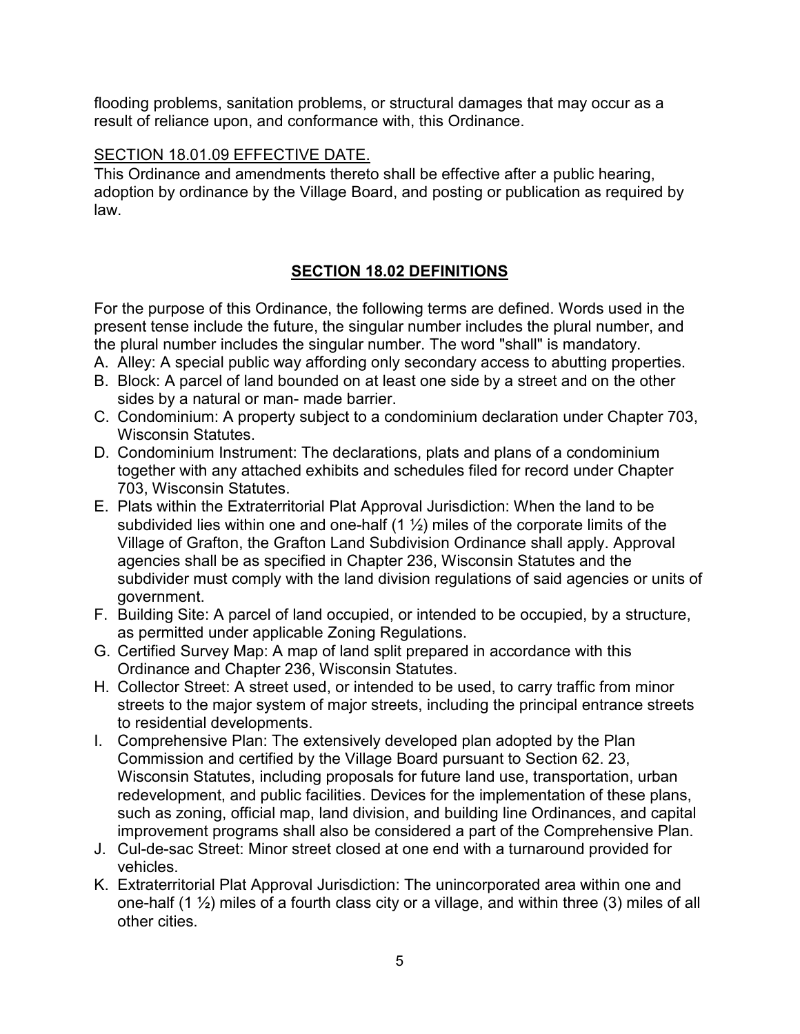flooding problems, sanitation problems, or structural damages that may occur as a result of reliance upon, and conformance with, this Ordinance.

### <span id="page-4-0"></span>SECTION 18.01.09 EFFECTIVE DATE.

This Ordinance and amendments thereto shall be effective after a public hearing, adoption by ordinance by the Village Board, and posting or publication as required by law.

# **SECTION 18.02 DEFINITIONS**

<span id="page-4-1"></span>For the purpose of this Ordinance, the following terms are defined. Words used in the present tense include the future, the singular number includes the plural number, and the plural number includes the singular number. The word "shall" is mandatory.

- A. Alley: A special public way affording only secondary access to abutting properties.
- B. Block: A parcel of land bounded on at least one side by a street and on the other sides by a natural or man- made barrier.
- C. Condominium: A property subject to a condominium declaration under Chapter 703, Wisconsin Statutes.
- D. Condominium Instrument: The declarations, plats and plans of a condominium together with any attached exhibits and schedules filed for record under Chapter 703, Wisconsin Statutes.
- E. Plats within the Extraterritorial Plat Approval Jurisdiction: When the land to be subdivided lies within one and one-half  $(1 \frac{1}{2})$  miles of the corporate limits of the Village of Grafton, the Grafton Land Subdivision Ordinance shall apply. Approval agencies shall be as specified in Chapter 236, Wisconsin Statutes and the subdivider must comply with the land division regulations of said agencies or units of government.
- F. Building Site: A parcel of land occupied, or intended to be occupied, by a structure, as permitted under applicable Zoning Regulations.
- G. Certified Survey Map: A map of land split prepared in accordance with this Ordinance and Chapter 236, Wisconsin Statutes.
- H. Collector Street: A street used, or intended to be used, to carry traffic from minor streets to the major system of major streets, including the principal entrance streets to residential developments.
- I. Comprehensive Plan: The extensively developed plan adopted by the Plan Commission and certified by the Village Board pursuant to Section 62. 23, Wisconsin Statutes, including proposals for future land use, transportation, urban redevelopment, and public facilities. Devices for the implementation of these plans, such as zoning, official map, land division, and building line Ordinances, and capital improvement programs shall also be considered a part of the Comprehensive Plan.
- J. Cul-de-sac Street: Minor street closed at one end with a turnaround provided for vehicles.
- K. Extraterritorial Plat Approval Jurisdiction: The unincorporated area within one and one-half  $(1 \frac{1}{2})$  miles of a fourth class city or a village, and within three (3) miles of all other cities.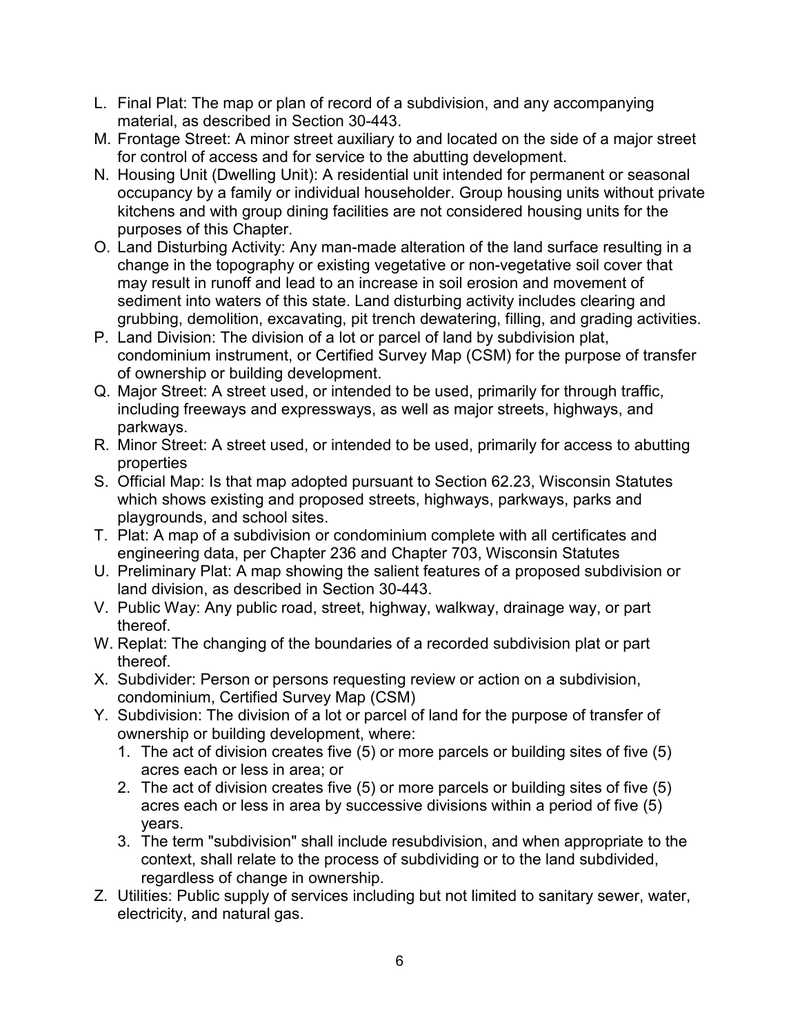- L. Final Plat: The map or plan of record of a subdivision, and any accompanying material, as described in Section 30-443.
- M. Frontage Street: A minor street auxiliary to and located on the side of a major street for control of access and for service to the abutting development.
- N. Housing Unit (Dwelling Unit): A residential unit intended for permanent or seasonal occupancy by a family or individual householder. Group housing units without private kitchens and with group dining facilities are not considered housing units for the purposes of this Chapter.
- O. Land Disturbing Activity: Any man-made alteration of the land surface resulting in a change in the topography or existing vegetative or non-vegetative soil cover that may result in runoff and lead to an increase in soil erosion and movement of sediment into waters of this state. Land disturbing activity includes clearing and grubbing, demolition, excavating, pit trench dewatering, filling, and grading activities.
- P. Land Division: The division of a lot or parcel of land by subdivision plat, condominium instrument, or Certified Survey Map (CSM) for the purpose of transfer of ownership or building development.
- Q. Major Street: A street used, or intended to be used, primarily for through traffic, including freeways and expressways, as well as major streets, highways, and parkways.
- R. Minor Street: A street used, or intended to be used, primarily for access to abutting properties
- S. Official Map: Is that map adopted pursuant to Section 62.23, Wisconsin Statutes which shows existing and proposed streets, highways, parkways, parks and playgrounds, and school sites.
- T. Plat: A map of a subdivision or condominium complete with all certificates and engineering data, per Chapter 236 and Chapter 703, Wisconsin Statutes
- U. Preliminary Plat: A map showing the salient features of a proposed subdivision or land division, as described in Section 30-443.
- V. Public Way: Any public road, street, highway, walkway, drainage way, or part thereof.
- W. Replat: The changing of the boundaries of a recorded subdivision plat or part thereof.
- X. Subdivider: Person or persons requesting review or action on a subdivision, condominium, Certified Survey Map (CSM)
- Y. Subdivision: The division of a lot or parcel of land for the purpose of transfer of ownership or building development, where:
	- 1. The act of division creates five (5) or more parcels or building sites of five (5) acres each or less in area; or
	- 2. The act of division creates five (5) or more parcels or building sites of five (5) acres each or less in area by successive divisions within a period of five (5) years.
	- 3. The term "subdivision" shall include resubdivision, and when appropriate to the context, shall relate to the process of subdividing or to the land subdivided, regardless of change in ownership.
- Z. Utilities: Public supply of services including but not limited to sanitary sewer, water, electricity, and natural gas.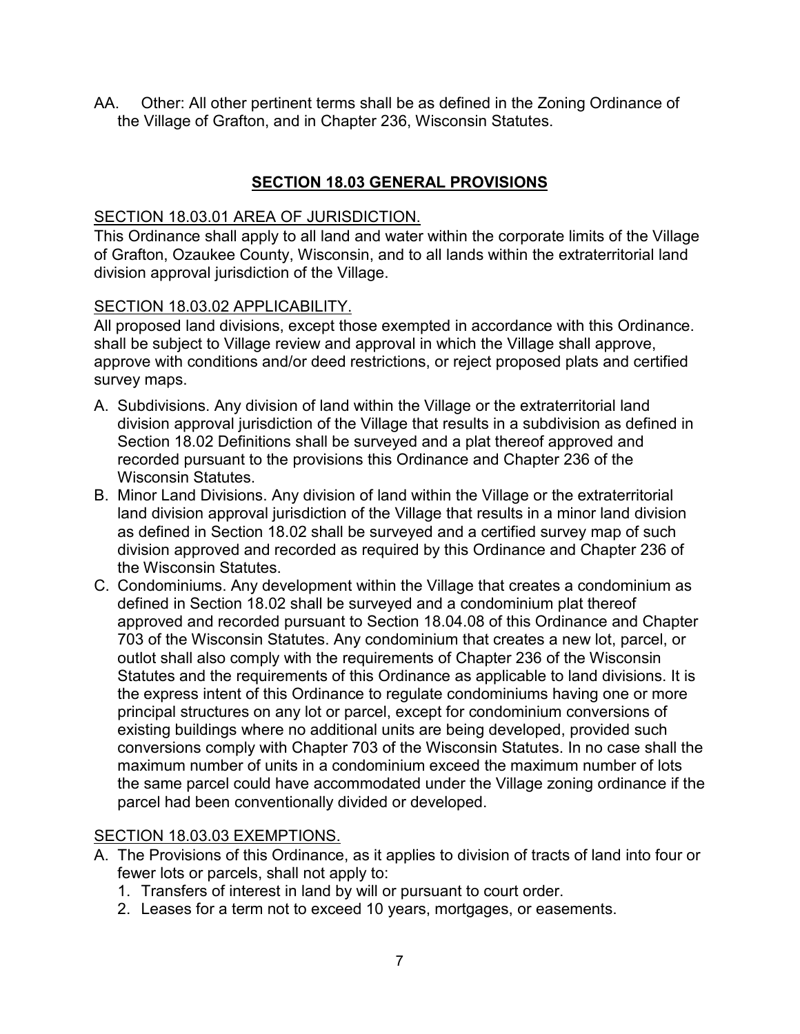AA. Other: All other pertinent terms shall be as defined in the Zoning Ordinance of the Village of Grafton, and in Chapter 236, Wisconsin Statutes.

# **SECTION 18.03 GENERAL PROVISIONS**

#### <span id="page-6-1"></span><span id="page-6-0"></span>SECTION 18.03.01 AREA OF JURISDICTION.

This Ordinance shall apply to all land and water within the corporate limits of the Village of Grafton, Ozaukee County, Wisconsin, and to all lands within the extraterritorial land division approval jurisdiction of the Village.

#### <span id="page-6-2"></span>SECTION 18.03.02 APPLICABILITY.

All proposed land divisions, except those exempted in accordance with this Ordinance. shall be subject to Village review and approval in which the Village shall approve, approve with conditions and/or deed restrictions, or reject proposed plats and certified survey maps.

- A. Subdivisions. Any division of land within the Village or the extraterritorial land division approval jurisdiction of the Village that results in a subdivision as defined in Section 18.02 Definitions shall be surveyed and a plat thereof approved and recorded pursuant to the provisions this Ordinance and Chapter 236 of the Wisconsin Statutes.
- B. Minor Land Divisions. Any division of land within the Village or the extraterritorial land division approval jurisdiction of the Village that results in a minor land division as defined in Section 18.02 shall be surveyed and a certified survey map of such division approved and recorded as required by this Ordinance and Chapter 236 of the Wisconsin Statutes.
- C. Condominiums. Any development within the Village that creates a condominium as defined in Section 18.02 shall be surveyed and a condominium plat thereof approved and recorded pursuant to Section 18.04.08 of this Ordinance and Chapter 703 of the Wisconsin Statutes. Any condominium that creates a new lot, parcel, or outlot shall also comply with the requirements of Chapter 236 of the Wisconsin Statutes and the requirements of this Ordinance as applicable to land divisions. It is the express intent of this Ordinance to regulate condominiums having one or more principal structures on any lot or parcel, except for condominium conversions of existing buildings where no additional units are being developed, provided such conversions comply with Chapter 703 of the Wisconsin Statutes. In no case shall the maximum number of units in a condominium exceed the maximum number of lots the same parcel could have accommodated under the Village zoning ordinance if the parcel had been conventionally divided or developed.

## <span id="page-6-3"></span>SECTION 18.03.03 EXEMPTIONS.

- A. The Provisions of this Ordinance, as it applies to division of tracts of land into four or fewer lots or parcels, shall not apply to:
	- 1. Transfers of interest in land by will or pursuant to court order.
	- 2. Leases for a term not to exceed 10 years, mortgages, or easements.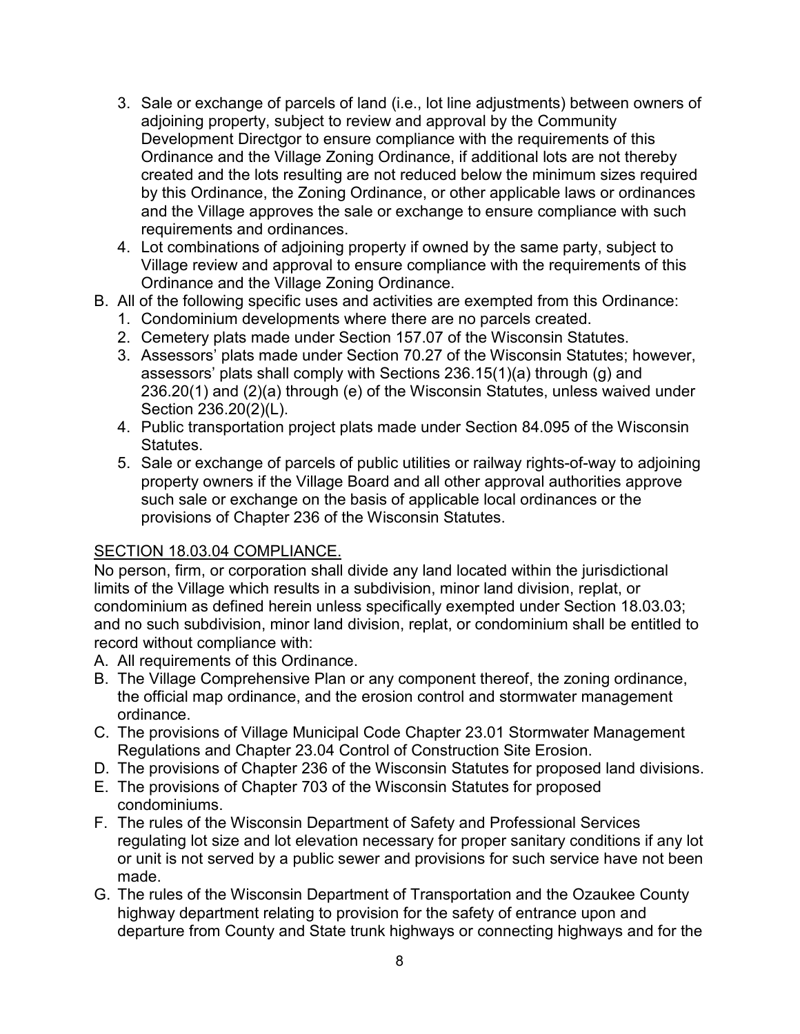- 3. Sale or exchange of parcels of land (i.e., lot line adjustments) between owners of adjoining property, subject to review and approval by the Community Development Directgor to ensure compliance with the requirements of this Ordinance and the Village Zoning Ordinance, if additional lots are not thereby created and the lots resulting are not reduced below the minimum sizes required by this Ordinance, the Zoning Ordinance, or other applicable laws or ordinances and the Village approves the sale or exchange to ensure compliance with such requirements and ordinances.
- 4. Lot combinations of adjoining property if owned by the same party, subject to Village review and approval to ensure compliance with the requirements of this Ordinance and the Village Zoning Ordinance.
- B. All of the following specific uses and activities are exempted from this Ordinance:
	- 1. Condominium developments where there are no parcels created.
	- 2. Cemetery plats made under Section 157.07 of the Wisconsin Statutes.
	- 3. Assessors' plats made under Section 70.27 of the Wisconsin Statutes; however, assessors' plats shall comply with Sections 236.15(1)(a) through (g) and 236.20(1) and (2)(a) through (e) of the Wisconsin Statutes, unless waived under Section 236.20(2)(L).
	- 4. Public transportation project plats made under Section 84.095 of the Wisconsin **Statutes**
	- 5. Sale or exchange of parcels of public utilities or railway rights-of-way to adjoining property owners if the Village Board and all other approval authorities approve such sale or exchange on the basis of applicable local ordinances or the provisions of Chapter 236 of the Wisconsin Statutes.

#### <span id="page-7-0"></span>SECTION 18.03.04 COMPLIANCE.

No person, firm, or corporation shall divide any land located within the jurisdictional limits of the Village which results in a subdivision, minor land division, replat, or condominium as defined herein unless specifically exempted under Section 18.03.03; and no such subdivision, minor land division, replat, or condominium shall be entitled to record without compliance with:

- A. All requirements of this Ordinance.
- B. The Village Comprehensive Plan or any component thereof, the zoning ordinance, the official map ordinance, and the erosion control and stormwater management ordinance.
- C. The provisions of Village Municipal Code Chapter 23.01 Stormwater Management Regulations and Chapter 23.04 Control of Construction Site Erosion.
- D. The provisions of Chapter 236 of the Wisconsin Statutes for proposed land divisions.
- E. The provisions of Chapter 703 of the Wisconsin Statutes for proposed condominiums.
- F. The rules of the Wisconsin Department of Safety and Professional Services regulating lot size and lot elevation necessary for proper sanitary conditions if any lot or unit is not served by a public sewer and provisions for such service have not been made.
- G. The rules of the Wisconsin Department of Transportation and the Ozaukee County highway department relating to provision for the safety of entrance upon and departure from County and State trunk highways or connecting highways and for the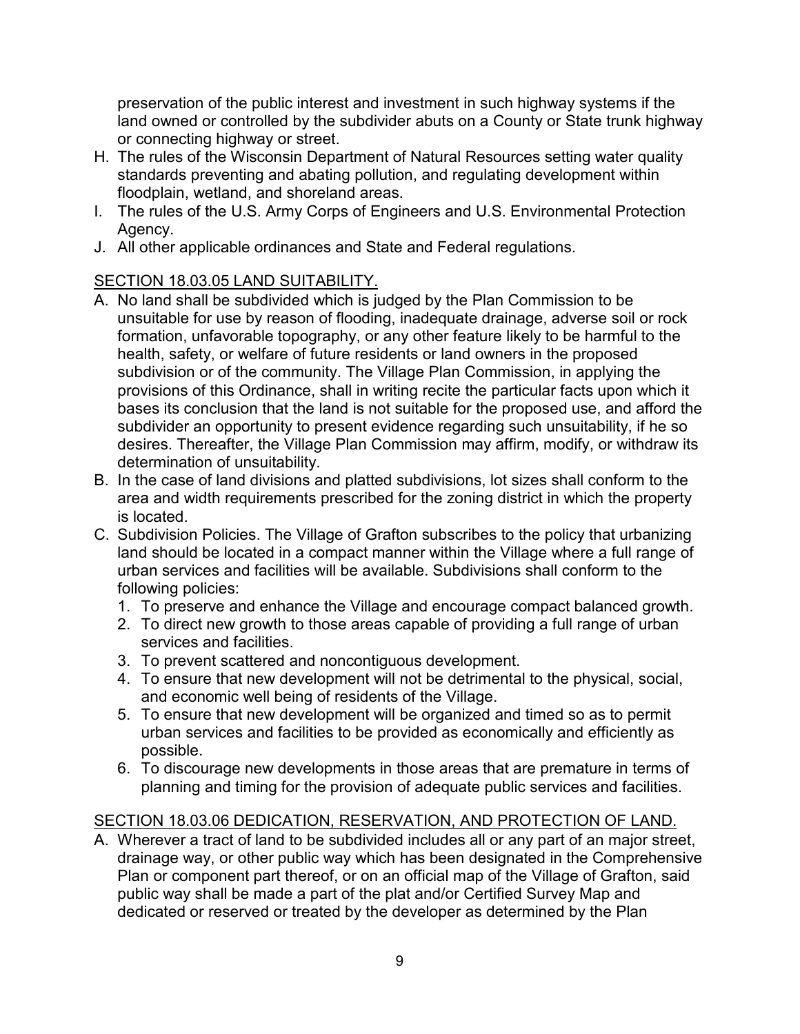preservation of the public interest and investment in such highway systems if the land owned or controlled by the subdivider abuts on a County or State trunk highway or connecting highway or street.

- H. The rules of the Wisconsin Department of Natural Resources setting water quality standards preventing and abating pollution, and regulating development within floodplain, wetland, and shoreland areas.
- I. The rules of the U.S. Army Corps of Engineers and U.S. Environmental Protection Agency.
- J. All other applicable ordinances and State and Federal regulations.

# <span id="page-8-0"></span>SECTION 18.03.05 LAND SUITABILITY.

- A. No land shall be subdivided which is judged by the Plan Commission to be unsuitable for use by reason of flooding, inadequate drainage, adverse soil or rock formation, unfavorable topography, or any other feature likely to be harmful to the health, safety, or welfare of future residents or land owners in the proposed subdivision or of the community. The Village Plan Commission, in applying the provisions of this Ordinance, shall in writing recite the particular facts upon which it bases its conclusion that the land is not suitable for the proposed use, and afford the subdivider an opportunity to present evidence regarding such unsuitability, if he so desires. Thereafter, the Village Plan Commission may affirm, modify, or withdraw its determination of unsuitability.
- B. In the case of land divisions and platted subdivisions, lot sizes shall conform to the area and width requirements prescribed for the zoning district in which the property is located.
- C. Subdivision Policies. The Village of Grafton subscribes to the policy that urbanizing land should be located in a compact manner within the Village where a full range of urban services and facilities will be available. Subdivisions shall conform to the following policies:
	- 1. To preserve and enhance the Village and encourage compact balanced growth.
	- 2. To direct new growth to those areas capable of providing a full range of urban services and facilities.
	- 3. To prevent scattered and noncontiguous development.
	- 4. To ensure that new development will not be detrimental to the physical, social, and economic well being of residents of the Village.
	- 5. To ensure that new development will be organized and timed so as to permit urban services and facilities to be provided as economically and efficiently as possible.
	- 6. To discourage new developments in those areas that are premature in terms of planning and timing for the provision of adequate public services and facilities.

# <span id="page-8-1"></span>SECTION 18.03.06 DEDICATION, RESERVATION, AND PROTECTION OF LAND.

A. Wherever a tract of land to be subdivided includes all or any part of an major street, drainage way, or other public way which has been designated in the Comprehensive Plan or component part thereof, or on an official map of the Village of Grafton, said public way shall be made a part of the plat and/or Certified Survey Map and dedicated or reserved or treated by the developer as determined by the Plan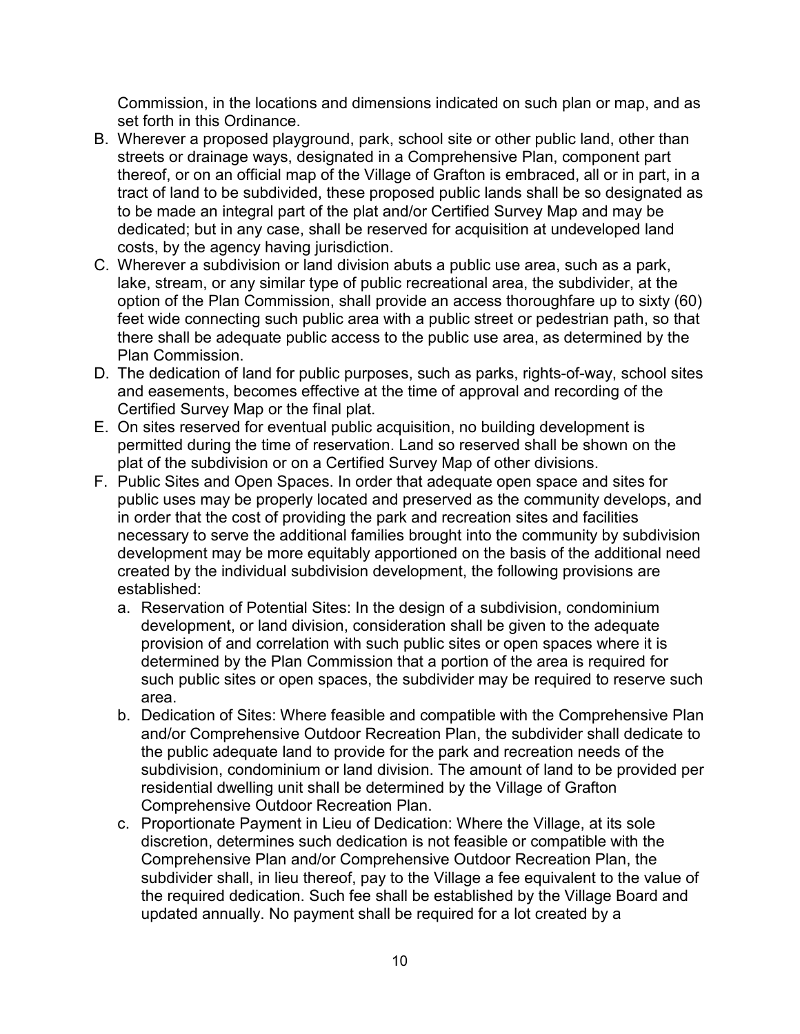Commission, in the locations and dimensions indicated on such plan or map, and as set forth in this Ordinance.

- B. Wherever a proposed playground, park, school site or other public land, other than streets or drainage ways, designated in a Comprehensive Plan, component part thereof, or on an official map of the Village of Grafton is embraced, all or in part, in a tract of land to be subdivided, these proposed public lands shall be so designated as to be made an integral part of the plat and/or Certified Survey Map and may be dedicated; but in any case, shall be reserved for acquisition at undeveloped land costs, by the agency having jurisdiction.
- C. Wherever a subdivision or land division abuts a public use area, such as a park, lake, stream, or any similar type of public recreational area, the subdivider, at the option of the Plan Commission, shall provide an access thoroughfare up to sixty (60) feet wide connecting such public area with a public street or pedestrian path, so that there shall be adequate public access to the public use area, as determined by the Plan Commission.
- D. The dedication of land for public purposes, such as parks, rights-of-way, school sites and easements, becomes effective at the time of approval and recording of the Certified Survey Map or the final plat.
- E. On sites reserved for eventual public acquisition, no building development is permitted during the time of reservation. Land so reserved shall be shown on the plat of the subdivision or on a Certified Survey Map of other divisions.
- F. Public Sites and Open Spaces. In order that adequate open space and sites for public uses may be properly located and preserved as the community develops, and in order that the cost of providing the park and recreation sites and facilities necessary to serve the additional families brought into the community by subdivision development may be more equitably apportioned on the basis of the additional need created by the individual subdivision development, the following provisions are established:
	- a. Reservation of Potential Sites: In the design of a subdivision, condominium development, or land division, consideration shall be given to the adequate provision of and correlation with such public sites or open spaces where it is determined by the Plan Commission that a portion of the area is required for such public sites or open spaces, the subdivider may be required to reserve such area.
	- b. Dedication of Sites: Where feasible and compatible with the Comprehensive Plan and/or Comprehensive Outdoor Recreation Plan, the subdivider shall dedicate to the public adequate land to provide for the park and recreation needs of the subdivision, condominium or land division. The amount of land to be provided per residential dwelling unit shall be determined by the Village of Grafton Comprehensive Outdoor Recreation Plan.
	- c. Proportionate Payment in Lieu of Dedication: Where the Village, at its sole discretion, determines such dedication is not feasible or compatible with the Comprehensive Plan and/or Comprehensive Outdoor Recreation Plan, the subdivider shall, in lieu thereof, pay to the Village a fee equivalent to the value of the required dedication. Such fee shall be established by the Village Board and updated annually. No payment shall be required for a lot created by a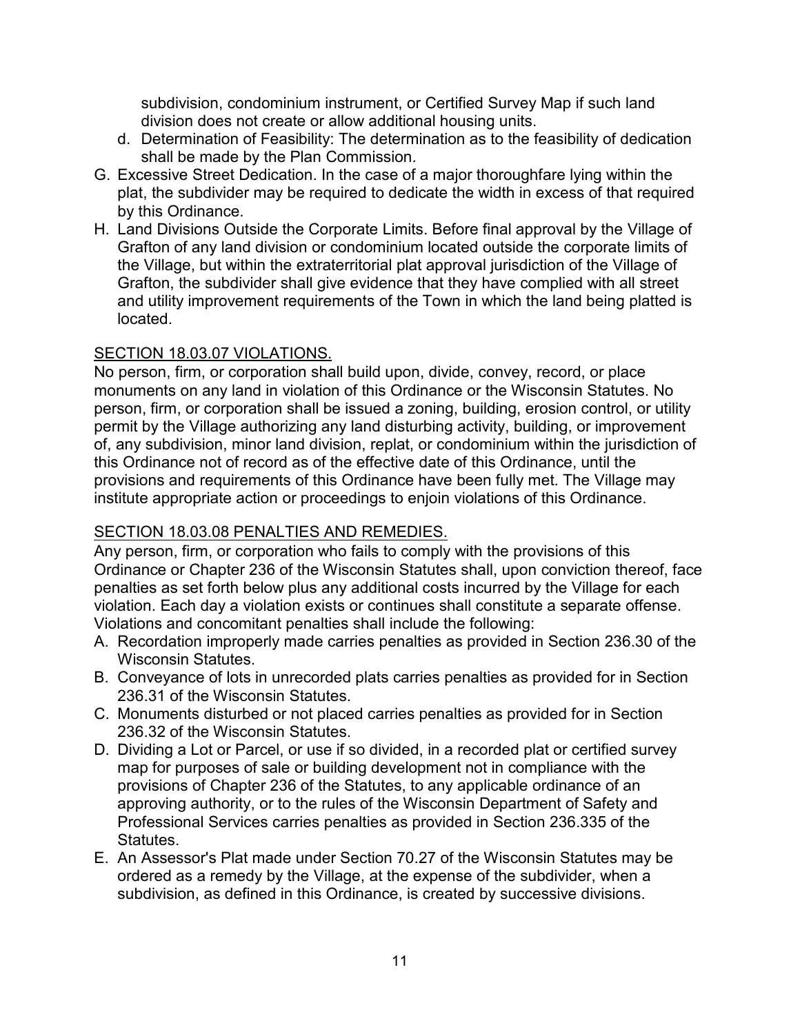subdivision, condominium instrument, or Certified Survey Map if such land division does not create or allow additional housing units.

- d. Determination of Feasibility: The determination as to the feasibility of dedication shall be made by the Plan Commission.
- G. Excessive Street Dedication. In the case of a major thoroughfare lying within the plat, the subdivider may be required to dedicate the width in excess of that required by this Ordinance.
- H. Land Divisions Outside the Corporate Limits. Before final approval by the Village of Grafton of any land division or condominium located outside the corporate limits of the Village, but within the extraterritorial plat approval jurisdiction of the Village of Grafton, the subdivider shall give evidence that they have complied with all street and utility improvement requirements of the Town in which the land being platted is located.

### <span id="page-10-0"></span>SECTION 18.03.07 VIOLATIONS.

No person, firm, or corporation shall build upon, divide, convey, record, or place monuments on any land in violation of this Ordinance or the Wisconsin Statutes. No person, firm, or corporation shall be issued a zoning, building, erosion control, or utility permit by the Village authorizing any land disturbing activity, building, or improvement of, any subdivision, minor land division, replat, or condominium within the jurisdiction of this Ordinance not of record as of the effective date of this Ordinance, until the provisions and requirements of this Ordinance have been fully met. The Village may institute appropriate action or proceedings to enjoin violations of this Ordinance.

## <span id="page-10-1"></span>SECTION 18.03.08 PENALTIES AND REMEDIES.

Any person, firm, or corporation who fails to comply with the provisions of this Ordinance or Chapter 236 of the Wisconsin Statutes shall, upon conviction thereof, face penalties as set forth below plus any additional costs incurred by the Village for each violation. Each day a violation exists or continues shall constitute a separate offense. Violations and concomitant penalties shall include the following:

- A. Recordation improperly made carries penalties as provided in Section 236.30 of the Wisconsin Statutes.
- B. Conveyance of lots in unrecorded plats carries penalties as provided for in Section 236.31 of the Wisconsin Statutes.
- C. Monuments disturbed or not placed carries penalties as provided for in Section 236.32 of the Wisconsin Statutes.
- D. Dividing a Lot or Parcel, or use if so divided, in a recorded plat or certified survey map for purposes of sale or building development not in compliance with the provisions of Chapter 236 of the Statutes, to any applicable ordinance of an approving authority, or to the rules of the Wisconsin Department of Safety and Professional Services carries penalties as provided in Section 236.335 of the Statutes.
- E. An Assessor's Plat made under Section 70.27 of the Wisconsin Statutes may be ordered as a remedy by the Village, at the expense of the subdivider, when a subdivision, as defined in this Ordinance, is created by successive divisions.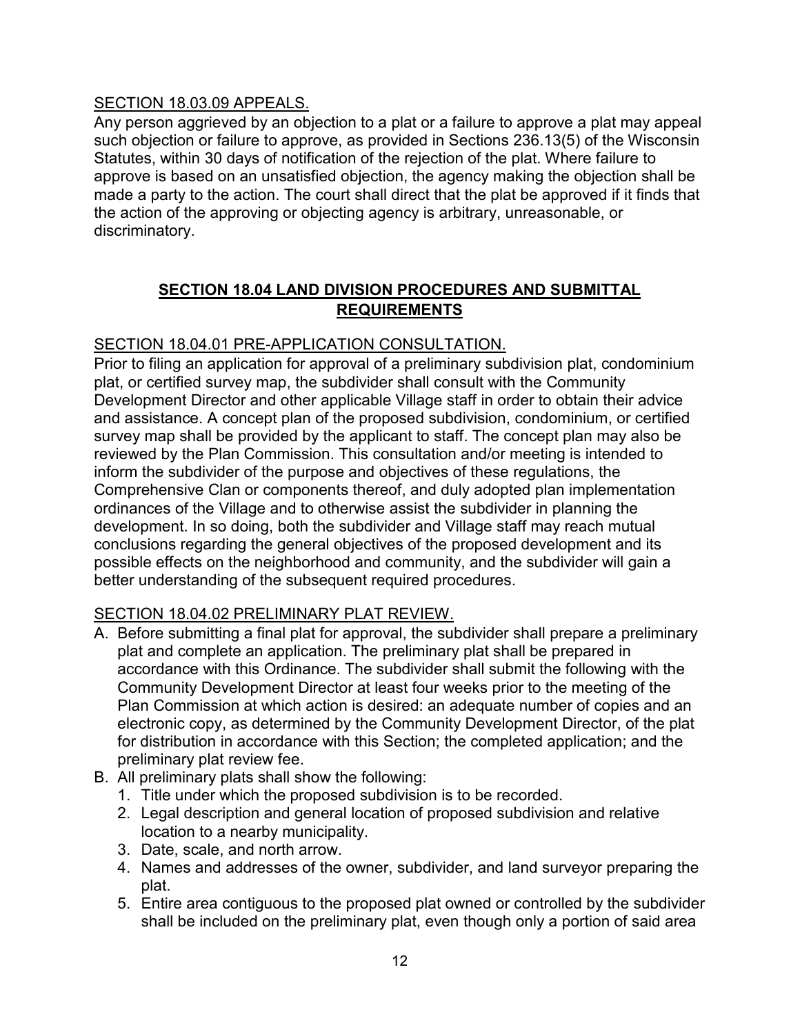### <span id="page-11-0"></span>SECTION 18.03.09 APPEALS.

Any person aggrieved by an objection to a plat or a failure to approve a plat may appeal such objection or failure to approve, as provided in Sections 236.13(5) of the Wisconsin Statutes, within 30 days of notification of the rejection of the plat. Where failure to approve is based on an unsatisfied objection, the agency making the objection shall be made a party to the action. The court shall direct that the plat be approved if it finds that the action of the approving or objecting agency is arbitrary, unreasonable, or discriminatory.

# **SECTION 18.04 LAND DIVISION PROCEDURES AND SUBMITTAL REQUIREMENTS**

# <span id="page-11-2"></span><span id="page-11-1"></span>SECTION 18.04.01 PRE-APPLICATION CONSULTATION.

Prior to filing an application for approval of a preliminary subdivision plat, condominium plat, or certified survey map, the subdivider shall consult with the Community Development Director and other applicable Village staff in order to obtain their advice and assistance. A concept plan of the proposed subdivision, condominium, or certified survey map shall be provided by the applicant to staff. The concept plan may also be reviewed by the Plan Commission. This consultation and/or meeting is intended to inform the subdivider of the purpose and objectives of these regulations, the Comprehensive Clan or components thereof, and duly adopted plan implementation ordinances of the Village and to otherwise assist the subdivider in planning the development. In so doing, both the subdivider and Village staff may reach mutual conclusions regarding the general objectives of the proposed development and its possible effects on the neighborhood and community, and the subdivider will gain a better understanding of the subsequent required procedures.

## <span id="page-11-3"></span>SECTION 18.04.02 PRELIMINARY PLAT REVIEW.

- A. Before submitting a final plat for approval, the subdivider shall prepare a preliminary plat and complete an application. The preliminary plat shall be prepared in accordance with this Ordinance. The subdivider shall submit the following with the Community Development Director at least four weeks prior to the meeting of the Plan Commission at which action is desired: an adequate number of copies and an electronic copy, as determined by the Community Development Director, of the plat for distribution in accordance with this Section; the completed application; and the preliminary plat review fee.
- B. All preliminary plats shall show the following:
	- 1. Title under which the proposed subdivision is to be recorded.
	- 2. Legal description and general location of proposed subdivision and relative location to a nearby municipality.
	- 3. Date, scale, and north arrow.
	- 4. Names and addresses of the owner, subdivider, and land surveyor preparing the plat.
	- 5. Entire area contiguous to the proposed plat owned or controlled by the subdivider shall be included on the preliminary plat, even though only a portion of said area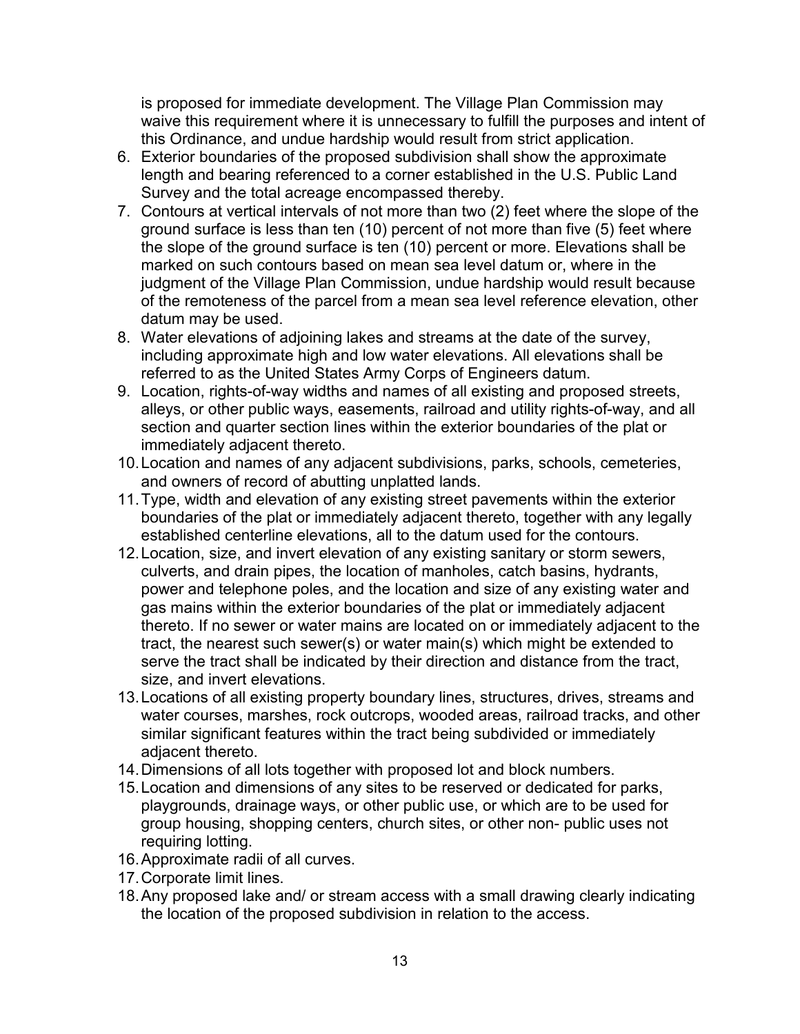is proposed for immediate development. The Village Plan Commission may waive this requirement where it is unnecessary to fulfill the purposes and intent of this Ordinance, and undue hardship would result from strict application.

- 6. Exterior boundaries of the proposed subdivision shall show the approximate length and bearing referenced to a corner established in the U.S. Public Land Survey and the total acreage encompassed thereby.
- 7. Contours at vertical intervals of not more than two (2) feet where the slope of the ground surface is less than ten (10) percent of not more than five (5) feet where the slope of the ground surface is ten (10) percent or more. Elevations shall be marked on such contours based on mean sea level datum or, where in the judgment of the Village Plan Commission, undue hardship would result because of the remoteness of the parcel from a mean sea level reference elevation, other datum may be used.
- 8. Water elevations of adjoining lakes and streams at the date of the survey, including approximate high and low water elevations. All elevations shall be referred to as the United States Army Corps of Engineers datum.
- 9. Location, rights-of-way widths and names of all existing and proposed streets, alleys, or other public ways, easements, railroad and utility rights-of-way, and all section and quarter section lines within the exterior boundaries of the plat or immediately adjacent thereto.
- 10.Location and names of any adjacent subdivisions, parks, schools, cemeteries, and owners of record of abutting unplatted lands.
- 11.Type, width and elevation of any existing street pavements within the exterior boundaries of the plat or immediately adjacent thereto, together with any legally established centerline elevations, all to the datum used for the contours.
- 12.Location, size, and invert elevation of any existing sanitary or storm sewers, culverts, and drain pipes, the location of manholes, catch basins, hydrants, power and telephone poles, and the location and size of any existing water and gas mains within the exterior boundaries of the plat or immediately adjacent thereto. If no sewer or water mains are located on or immediately adjacent to the tract, the nearest such sewer(s) or water main(s) which might be extended to serve the tract shall be indicated by their direction and distance from the tract, size, and invert elevations.
- 13.Locations of all existing property boundary lines, structures, drives, streams and water courses, marshes, rock outcrops, wooded areas, railroad tracks, and other similar significant features within the tract being subdivided or immediately adjacent thereto.
- 14.Dimensions of all lots together with proposed lot and block numbers.
- 15.Location and dimensions of any sites to be reserved or dedicated for parks, playgrounds, drainage ways, or other public use, or which are to be used for group housing, shopping centers, church sites, or other non- public uses not requiring lotting.
- 16.Approximate radii of all curves.
- 17.Corporate limit lines.
- 18.Any proposed lake and/ or stream access with a small drawing clearly indicating the location of the proposed subdivision in relation to the access.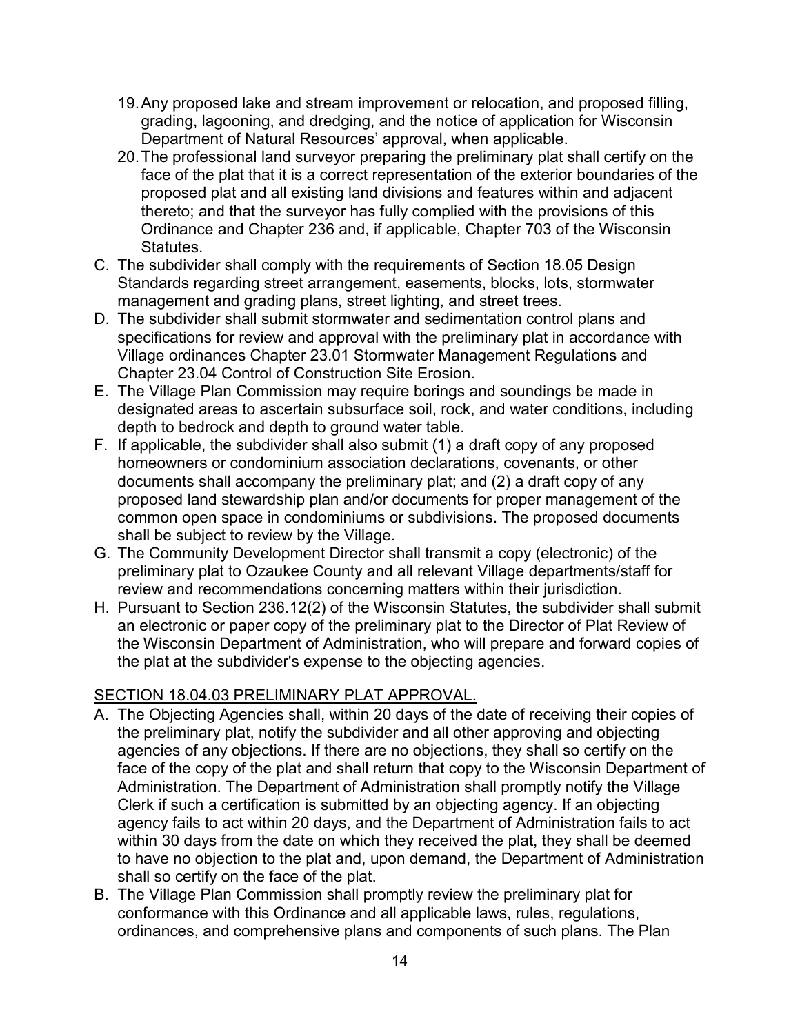- 19.Any proposed lake and stream improvement or relocation, and proposed filling, grading, lagooning, and dredging, and the notice of application for Wisconsin Department of Natural Resources' approval, when applicable.
- 20.The professional land surveyor preparing the preliminary plat shall certify on the face of the plat that it is a correct representation of the exterior boundaries of the proposed plat and all existing land divisions and features within and adjacent thereto; and that the surveyor has fully complied with the provisions of this Ordinance and Chapter 236 and, if applicable, Chapter 703 of the Wisconsin Statutes.
- C. The subdivider shall comply with the requirements of Section 18.05 Design Standards regarding street arrangement, easements, blocks, lots, stormwater management and grading plans, street lighting, and street trees.
- D. The subdivider shall submit stormwater and sedimentation control plans and specifications for review and approval with the preliminary plat in accordance with Village ordinances Chapter 23.01 Stormwater Management Regulations and Chapter 23.04 Control of Construction Site Erosion.
- E. The Village Plan Commission may require borings and soundings be made in designated areas to ascertain subsurface soil, rock, and water conditions, including depth to bedrock and depth to ground water table.
- F. If applicable, the subdivider shall also submit (1) a draft copy of any proposed homeowners or condominium association declarations, covenants, or other documents shall accompany the preliminary plat; and (2) a draft copy of any proposed land stewardship plan and/or documents for proper management of the common open space in condominiums or subdivisions. The proposed documents shall be subject to review by the Village.
- G. The Community Development Director shall transmit a copy (electronic) of the preliminary plat to Ozaukee County and all relevant Village departments/staff for review and recommendations concerning matters within their jurisdiction.
- H. Pursuant to Section 236.12(2) of the Wisconsin Statutes, the subdivider shall submit an electronic or paper copy of the preliminary plat to the Director of Plat Review of the Wisconsin Department of Administration, who will prepare and forward copies of the plat at the subdivider's expense to the objecting agencies.

# <span id="page-13-0"></span>SECTION 18.04.03 PRELIMINARY PLAT APPROVAL.

- A. The Objecting Agencies shall, within 20 days of the date of receiving their copies of the preliminary plat, notify the subdivider and all other approving and objecting agencies of any objections. If there are no objections, they shall so certify on the face of the copy of the plat and shall return that copy to the Wisconsin Department of Administration. The Department of Administration shall promptly notify the Village Clerk if such a certification is submitted by an objecting agency. If an objecting agency fails to act within 20 days, and the Department of Administration fails to act within 30 days from the date on which they received the plat, they shall be deemed to have no objection to the plat and, upon demand, the Department of Administration shall so certify on the face of the plat.
- B. The Village Plan Commission shall promptly review the preliminary plat for conformance with this Ordinance and all applicable laws, rules, regulations, ordinances, and comprehensive plans and components of such plans. The Plan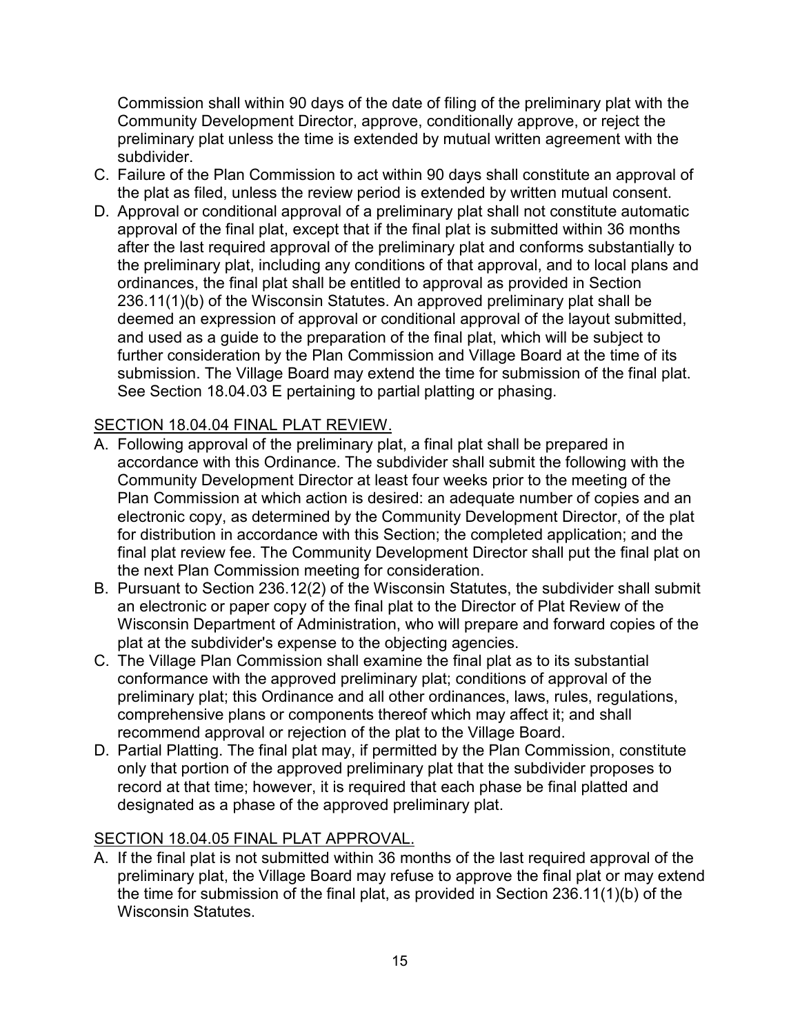Commission shall within 90 days of the date of filing of the preliminary plat with the Community Development Director, approve, conditionally approve, or reject the preliminary plat unless the time is extended by mutual written agreement with the subdivider.

- C. Failure of the Plan Commission to act within 90 days shall constitute an approval of the plat as filed, unless the review period is extended by written mutual consent.
- D. Approval or conditional approval of a preliminary plat shall not constitute automatic approval of the final plat, except that if the final plat is submitted within 36 months after the last required approval of the preliminary plat and conforms substantially to the preliminary plat, including any conditions of that approval, and to local plans and ordinances, the final plat shall be entitled to approval as provided in Section 236.11(1)(b) of the Wisconsin Statutes. An approved preliminary plat shall be deemed an expression of approval or conditional approval of the layout submitted, and used as a guide to the preparation of the final plat, which will be subject to further consideration by the Plan Commission and Village Board at the time of its submission. The Village Board may extend the time for submission of the final plat. See Section 18.04.03 E pertaining to partial platting or phasing.

## <span id="page-14-0"></span>SECTION 18.04.04 FINAL PLAT REVIEW.

- A. Following approval of the preliminary plat, a final plat shall be prepared in accordance with this Ordinance. The subdivider shall submit the following with the Community Development Director at least four weeks prior to the meeting of the Plan Commission at which action is desired: an adequate number of copies and an electronic copy, as determined by the Community Development Director, of the plat for distribution in accordance with this Section; the completed application; and the final plat review fee. The Community Development Director shall put the final plat on the next Plan Commission meeting for consideration.
- B. Pursuant to Section 236.12(2) of the Wisconsin Statutes, the subdivider shall submit an electronic or paper copy of the final plat to the Director of Plat Review of the Wisconsin Department of Administration, who will prepare and forward copies of the plat at the subdivider's expense to the objecting agencies.
- C. The Village Plan Commission shall examine the final plat as to its substantial conformance with the approved preliminary plat; conditions of approval of the preliminary plat; this Ordinance and all other ordinances, laws, rules, regulations, comprehensive plans or components thereof which may affect it; and shall recommend approval or rejection of the plat to the Village Board.
- D. Partial Platting. The final plat may, if permitted by the Plan Commission, constitute only that portion of the approved preliminary plat that the subdivider proposes to record at that time; however, it is required that each phase be final platted and designated as a phase of the approved preliminary plat.

#### <span id="page-14-1"></span>SECTION 18.04.05 FINAL PLAT APPROVAL.

A. If the final plat is not submitted within 36 months of the last required approval of the preliminary plat, the Village Board may refuse to approve the final plat or may extend the time for submission of the final plat, as provided in Section 236.11(1)(b) of the Wisconsin Statutes.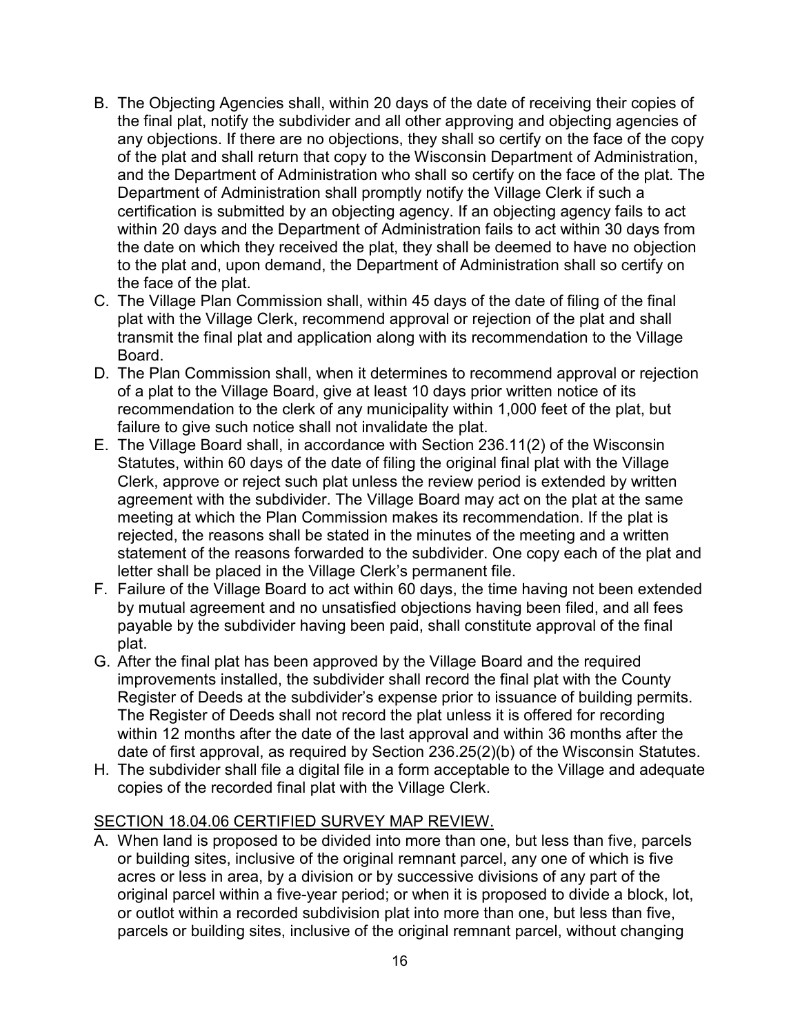- B. The Objecting Agencies shall, within 20 days of the date of receiving their copies of the final plat, notify the subdivider and all other approving and objecting agencies of any objections. If there are no objections, they shall so certify on the face of the copy of the plat and shall return that copy to the Wisconsin Department of Administration, and the Department of Administration who shall so certify on the face of the plat. The Department of Administration shall promptly notify the Village Clerk if such a certification is submitted by an objecting agency. If an objecting agency fails to act within 20 days and the Department of Administration fails to act within 30 days from the date on which they received the plat, they shall be deemed to have no objection to the plat and, upon demand, the Department of Administration shall so certify on the face of the plat.
- C. The Village Plan Commission shall, within 45 days of the date of filing of the final plat with the Village Clerk, recommend approval or rejection of the plat and shall transmit the final plat and application along with its recommendation to the Village Board.
- D. The Plan Commission shall, when it determines to recommend approval or rejection of a plat to the Village Board, give at least 10 days prior written notice of its recommendation to the clerk of any municipality within 1,000 feet of the plat, but failure to give such notice shall not invalidate the plat.
- E. The Village Board shall, in accordance with Section 236.11(2) of the Wisconsin Statutes, within 60 days of the date of filing the original final plat with the Village Clerk, approve or reject such plat unless the review period is extended by written agreement with the subdivider. The Village Board may act on the plat at the same meeting at which the Plan Commission makes its recommendation. If the plat is rejected, the reasons shall be stated in the minutes of the meeting and a written statement of the reasons forwarded to the subdivider. One copy each of the plat and letter shall be placed in the Village Clerk's permanent file.
- F. Failure of the Village Board to act within 60 days, the time having not been extended by mutual agreement and no unsatisfied objections having been filed, and all fees payable by the subdivider having been paid, shall constitute approval of the final plat.
- G. After the final plat has been approved by the Village Board and the required improvements installed, the subdivider shall record the final plat with the County Register of Deeds at the subdivider's expense prior to issuance of building permits. The Register of Deeds shall not record the plat unless it is offered for recording within 12 months after the date of the last approval and within 36 months after the date of first approval, as required by Section 236.25(2)(b) of the Wisconsin Statutes.
- H. The subdivider shall file a digital file in a form acceptable to the Village and adequate copies of the recorded final plat with the Village Clerk.

## <span id="page-15-0"></span>SECTION 18.04.06 CERTIFIED SURVEY MAP REVIEW.

A. When land is proposed to be divided into more than one, but less than five, parcels or building sites, inclusive of the original remnant parcel, any one of which is five acres or less in area, by a division or by successive divisions of any part of the original parcel within a five-year period; or when it is proposed to divide a block, lot, or outlot within a recorded subdivision plat into more than one, but less than five, parcels or building sites, inclusive of the original remnant parcel, without changing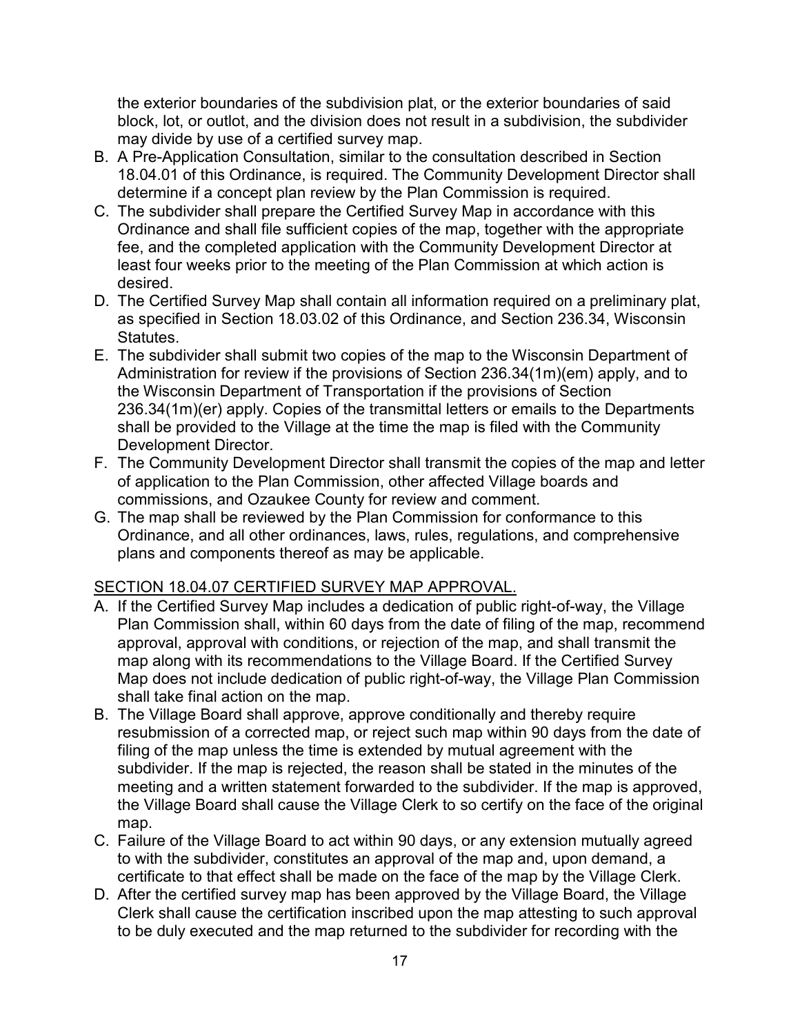the exterior boundaries of the subdivision plat, or the exterior boundaries of said block, lot, or outlot, and the division does not result in a subdivision, the subdivider may divide by use of a certified survey map.

- B. A Pre-Application Consultation, similar to the consultation described in Section 18.04.01 of this Ordinance, is required. The Community Development Director shall determine if a concept plan review by the Plan Commission is required.
- C. The subdivider shall prepare the Certified Survey Map in accordance with this Ordinance and shall file sufficient copies of the map, together with the appropriate fee, and the completed application with the Community Development Director at least four weeks prior to the meeting of the Plan Commission at which action is desired.
- D. The Certified Survey Map shall contain all information required on a preliminary plat, as specified in Section 18.03.02 of this Ordinance, and Section 236.34, Wisconsin Statutes.
- E. The subdivider shall submit two copies of the map to the Wisconsin Department of Administration for review if the provisions of Section 236.34(1m)(em) apply, and to the Wisconsin Department of Transportation if the provisions of Section 236.34(1m)(er) apply. Copies of the transmittal letters or emails to the Departments shall be provided to the Village at the time the map is filed with the Community Development Director.
- F. The Community Development Director shall transmit the copies of the map and letter of application to the Plan Commission, other affected Village boards and commissions, and Ozaukee County for review and comment.
- G. The map shall be reviewed by the Plan Commission for conformance to this Ordinance, and all other ordinances, laws, rules, regulations, and comprehensive plans and components thereof as may be applicable.

## <span id="page-16-0"></span>SECTION 18.04.07 CERTIFIED SURVEY MAP APPROVAL.

- A. If the Certified Survey Map includes a dedication of public right-of-way, the Village Plan Commission shall, within 60 days from the date of filing of the map, recommend approval, approval with conditions, or rejection of the map, and shall transmit the map along with its recommendations to the Village Board. If the Certified Survey Map does not include dedication of public right-of-way, the Village Plan Commission shall take final action on the map.
- B. The Village Board shall approve, approve conditionally and thereby require resubmission of a corrected map, or reject such map within 90 days from the date of filing of the map unless the time is extended by mutual agreement with the subdivider. If the map is rejected, the reason shall be stated in the minutes of the meeting and a written statement forwarded to the subdivider. If the map is approved, the Village Board shall cause the Village Clerk to so certify on the face of the original map.
- C. Failure of the Village Board to act within 90 days, or any extension mutually agreed to with the subdivider, constitutes an approval of the map and, upon demand, a certificate to that effect shall be made on the face of the map by the Village Clerk.
- D. After the certified survey map has been approved by the Village Board, the Village Clerk shall cause the certification inscribed upon the map attesting to such approval to be duly executed and the map returned to the subdivider for recording with the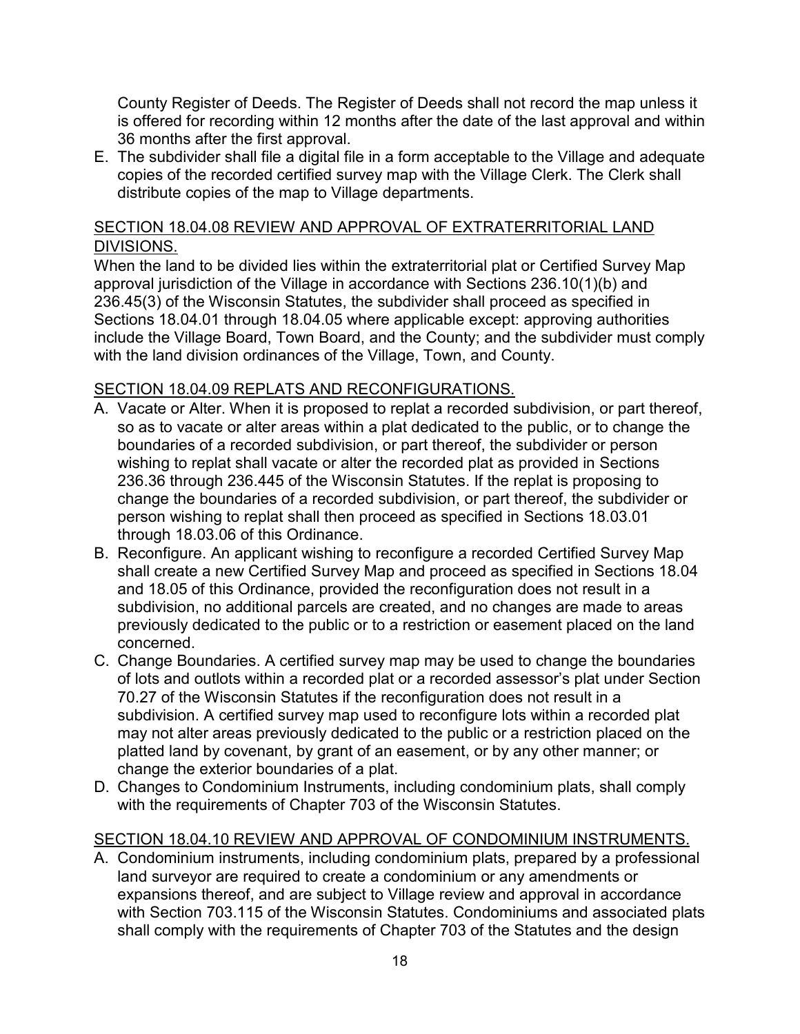County Register of Deeds. The Register of Deeds shall not record the map unless it is offered for recording within 12 months after the date of the last approval and within 36 months after the first approval.

E. The subdivider shall file a digital file in a form acceptable to the Village and adequate copies of the recorded certified survey map with the Village Clerk. The Clerk shall distribute copies of the map to Village departments.

# <span id="page-17-0"></span>SECTION 18.04.08 REVIEW AND APPROVAL OF EXTRATERRITORIAL LAND DIVISIONS.

When the land to be divided lies within the extraterritorial plat or Certified Survey Map approval jurisdiction of the Village in accordance with Sections 236.10(1)(b) and 236.45(3) of the Wisconsin Statutes, the subdivider shall proceed as specified in Sections 18.04.01 through 18.04.05 where applicable except: approving authorities include the Village Board, Town Board, and the County; and the subdivider must comply with the land division ordinances of the Village, Town, and County.

# <span id="page-17-1"></span>SECTION 18.04.09 REPLATS AND RECONFIGURATIONS.

- A. Vacate or Alter. When it is proposed to replat a recorded subdivision, or part thereof, so as to vacate or alter areas within a plat dedicated to the public, or to change the boundaries of a recorded subdivision, or part thereof, the subdivider or person wishing to replat shall vacate or alter the recorded plat as provided in Sections 236.36 through 236.445 of the Wisconsin Statutes. If the replat is proposing to change the boundaries of a recorded subdivision, or part thereof, the subdivider or person wishing to replat shall then proceed as specified in Sections 18.03.01 through 18.03.06 of this Ordinance.
- B. Reconfigure. An applicant wishing to reconfigure a recorded Certified Survey Map shall create a new Certified Survey Map and proceed as specified in Sections 18.04 and 18.05 of this Ordinance, provided the reconfiguration does not result in a subdivision, no additional parcels are created, and no changes are made to areas previously dedicated to the public or to a restriction or easement placed on the land concerned.
- C. Change Boundaries. A certified survey map may be used to change the boundaries of lots and outlots within a recorded plat or a recorded assessor's plat under Section 70.27 of the Wisconsin Statutes if the reconfiguration does not result in a subdivision. A certified survey map used to reconfigure lots within a recorded plat may not alter areas previously dedicated to the public or a restriction placed on the platted land by covenant, by grant of an easement, or by any other manner; or change the exterior boundaries of a plat.
- D. Changes to Condominium Instruments, including condominium plats, shall comply with the requirements of Chapter 703 of the Wisconsin Statutes.

## <span id="page-17-2"></span>SECTION 18.04.10 REVIEW AND APPROVAL OF CONDOMINIUM INSTRUMENTS.

A. Condominium instruments, including condominium plats, prepared by a professional land surveyor are required to create a condominium or any amendments or expansions thereof, and are subject to Village review and approval in accordance with Section 703.115 of the Wisconsin Statutes. Condominiums and associated plats shall comply with the requirements of Chapter 703 of the Statutes and the design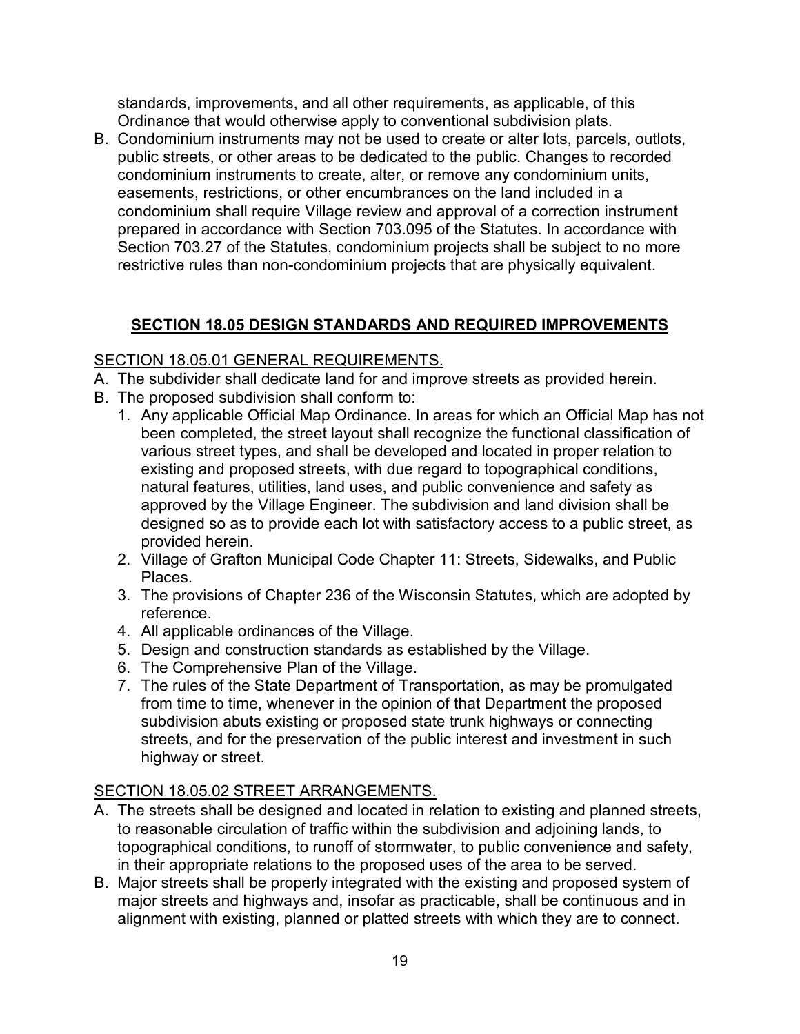standards, improvements, and all other requirements, as applicable, of this Ordinance that would otherwise apply to conventional subdivision plats.

B. Condominium instruments may not be used to create or alter lots, parcels, outlots, public streets, or other areas to be dedicated to the public. Changes to recorded condominium instruments to create, alter, or remove any condominium units, easements, restrictions, or other encumbrances on the land included in a condominium shall require Village review and approval of a correction instrument prepared in accordance with Section 703.095 of the Statutes. In accordance with Section 703.27 of the Statutes, condominium projects shall be subject to no more restrictive rules than non-condominium projects that are physically equivalent.

# <span id="page-18-0"></span>**SECTION 18.05 DESIGN STANDARDS AND REQUIRED IMPROVEMENTS**

# <span id="page-18-1"></span>SECTION 18.05.01 GENERAL REQUIREMENTS.

- A. The subdivider shall dedicate land for and improve streets as provided herein.
- B. The proposed subdivision shall conform to:
	- 1. Any applicable Official Map Ordinance. In areas for which an Official Map has not been completed, the street layout shall recognize the functional classification of various street types, and shall be developed and located in proper relation to existing and proposed streets, with due regard to topographical conditions, natural features, utilities, land uses, and public convenience and safety as approved by the Village Engineer. The subdivision and land division shall be designed so as to provide each lot with satisfactory access to a public street, as provided herein.
	- 2. Village of Grafton Municipal Code Chapter 11: Streets, Sidewalks, and Public Places.
	- 3. The provisions of Chapter 236 of the Wisconsin Statutes, which are adopted by reference.
	- 4. All applicable ordinances of the Village.
	- 5. Design and construction standards as established by the Village.
	- 6. The Comprehensive Plan of the Village.
	- 7. The rules of the State Department of Transportation, as may be promulgated from time to time, whenever in the opinion of that Department the proposed subdivision abuts existing or proposed state trunk highways or connecting streets, and for the preservation of the public interest and investment in such highway or street.

# <span id="page-18-2"></span>SECTION 18.05.02 STREET ARRANGEMENTS.

- A. The streets shall be designed and located in relation to existing and planned streets, to reasonable circulation of traffic within the subdivision and adjoining lands, to topographical conditions, to runoff of stormwater, to public convenience and safety, in their appropriate relations to the proposed uses of the area to be served.
- B. Major streets shall be properly integrated with the existing and proposed system of major streets and highways and, insofar as practicable, shall be continuous and in alignment with existing, planned or platted streets with which they are to connect.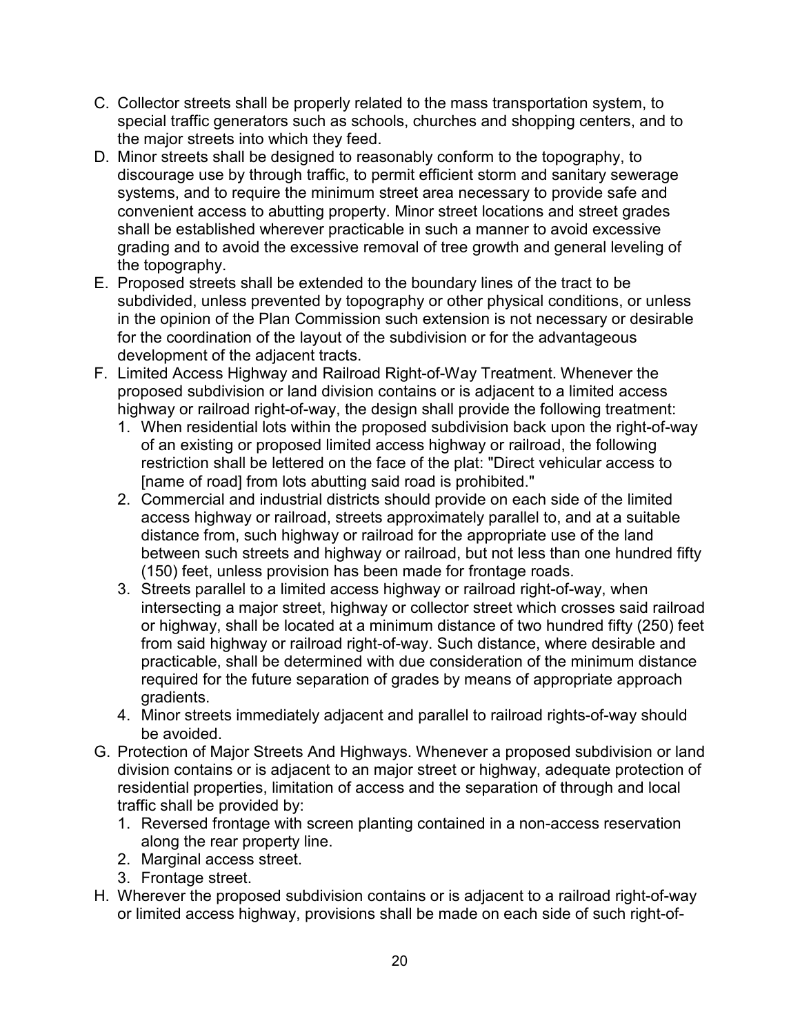- C. Collector streets shall be properly related to the mass transportation system, to special traffic generators such as schools, churches and shopping centers, and to the major streets into which they feed.
- D. Minor streets shall be designed to reasonably conform to the topography, to discourage use by through traffic, to permit efficient storm and sanitary sewerage systems, and to require the minimum street area necessary to provide safe and convenient access to abutting property. Minor street locations and street grades shall be established wherever practicable in such a manner to avoid excessive grading and to avoid the excessive removal of tree growth and general leveling of the topography.
- E. Proposed streets shall be extended to the boundary lines of the tract to be subdivided, unless prevented by topography or other physical conditions, or unless in the opinion of the Plan Commission such extension is not necessary or desirable for the coordination of the layout of the subdivision or for the advantageous development of the adjacent tracts.
- F. Limited Access Highway and Railroad Right-of-Way Treatment. Whenever the proposed subdivision or land division contains or is adjacent to a limited access highway or railroad right-of-way, the design shall provide the following treatment:
	- 1. When residential lots within the proposed subdivision back upon the right-of-way of an existing or proposed limited access highway or railroad, the following restriction shall be lettered on the face of the plat: "Direct vehicular access to [name of road] from lots abutting said road is prohibited."
	- 2. Commercial and industrial districts should provide on each side of the limited access highway or railroad, streets approximately parallel to, and at a suitable distance from, such highway or railroad for the appropriate use of the land between such streets and highway or railroad, but not less than one hundred fifty (150) feet, unless provision has been made for frontage roads.
	- 3. Streets parallel to a limited access highway or railroad right-of-way, when intersecting a major street, highway or collector street which crosses said railroad or highway, shall be located at a minimum distance of two hundred fifty (250) feet from said highway or railroad right-of-way. Such distance, where desirable and practicable, shall be determined with due consideration of the minimum distance required for the future separation of grades by means of appropriate approach gradients.
	- 4. Minor streets immediately adjacent and parallel to railroad rights-of-way should be avoided.
- G. Protection of Major Streets And Highways. Whenever a proposed subdivision or land division contains or is adjacent to an major street or highway, adequate protection of residential properties, limitation of access and the separation of through and local traffic shall be provided by:
	- 1. Reversed frontage with screen planting contained in a non-access reservation along the rear property line.
	- 2. Marginal access street.
	- 3. Frontage street.
- H. Wherever the proposed subdivision contains or is adjacent to a railroad right-of-way or limited access highway, provisions shall be made on each side of such right-of-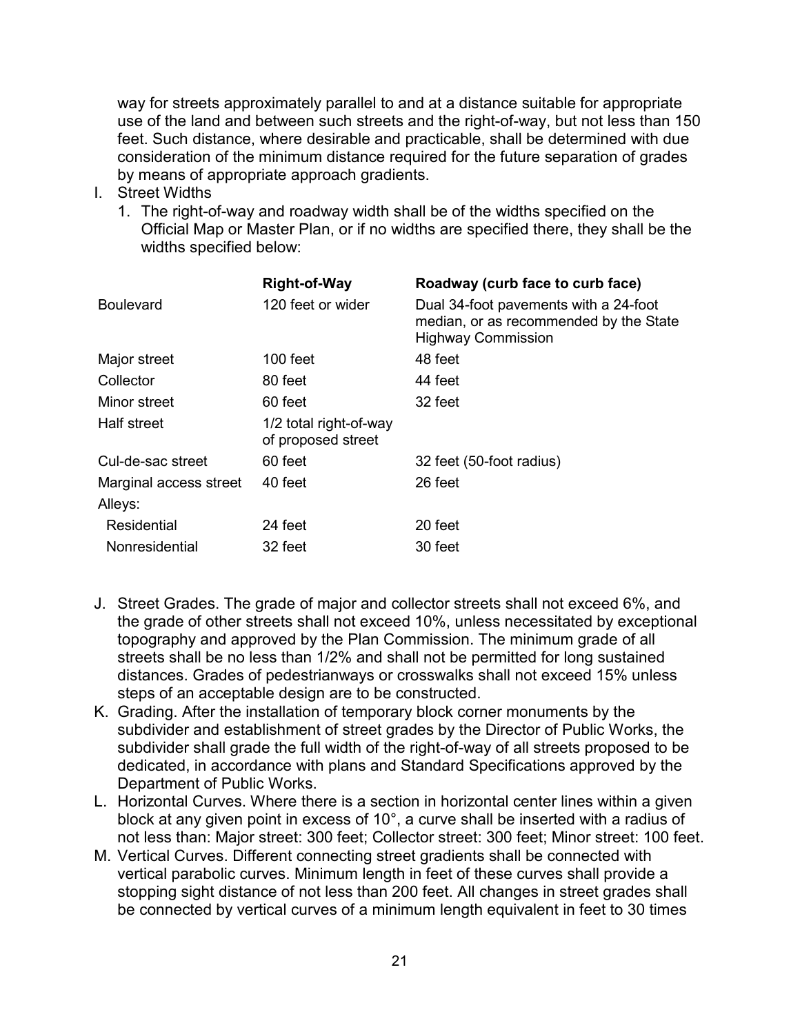way for streets approximately parallel to and at a distance suitable for appropriate use of the land and between such streets and the right-of-way, but not less than 150 feet. Such distance, where desirable and practicable, shall be determined with due consideration of the minimum distance required for the future separation of grades by means of appropriate approach gradients.

- I. Street Widths
	- 1. The right-of-way and roadway width shall be of the widths specified on the Official Map or Master Plan, or if no widths are specified there, they shall be the widths specified below:

| <b>Right-of-Way</b>                          | Roadway (curb face to curb face)                                                                             |
|----------------------------------------------|--------------------------------------------------------------------------------------------------------------|
| 120 feet or wider                            | Dual 34-foot pavements with a 24-foot<br>median, or as recommended by the State<br><b>Highway Commission</b> |
| $100$ feet                                   | 48 feet                                                                                                      |
| 80 feet                                      | 44 feet                                                                                                      |
| 60 feet                                      | 32 feet                                                                                                      |
| 1/2 total right-of-way<br>of proposed street |                                                                                                              |
| 60 feet                                      | 32 feet (50-foot radius)                                                                                     |
| 40 feet                                      | 26 feet                                                                                                      |
|                                              |                                                                                                              |
| 24 feet                                      | 20 feet                                                                                                      |
| 32 feet                                      | 30 feet                                                                                                      |
|                                              |                                                                                                              |

- J. Street Grades. The grade of major and collector streets shall not exceed 6%, and the grade of other streets shall not exceed 10%, unless necessitated by exceptional topography and approved by the Plan Commission. The minimum grade of all streets shall be no less than 1/2% and shall not be permitted for long sustained distances. Grades of pedestrianways or crosswalks shall not exceed 15% unless steps of an acceptable design are to be constructed.
- K. Grading. After the installation of temporary block corner monuments by the subdivider and establishment of street grades by the Director of Public Works, the subdivider shall grade the full width of the right-of-way of all streets proposed to be dedicated, in accordance with plans and Standard Specifications approved by the Department of Public Works.
- L. Horizontal Curves. Where there is a section in horizontal center lines within a given block at any given point in excess of 10°, a curve shall be inserted with a radius of not less than: Major street: 300 feet; Collector street: 300 feet; Minor street: 100 feet.
- M. Vertical Curves. Different connecting street gradients shall be connected with vertical parabolic curves. Minimum length in feet of these curves shall provide a stopping sight distance of not less than 200 feet. All changes in street grades shall be connected by vertical curves of a minimum length equivalent in feet to 30 times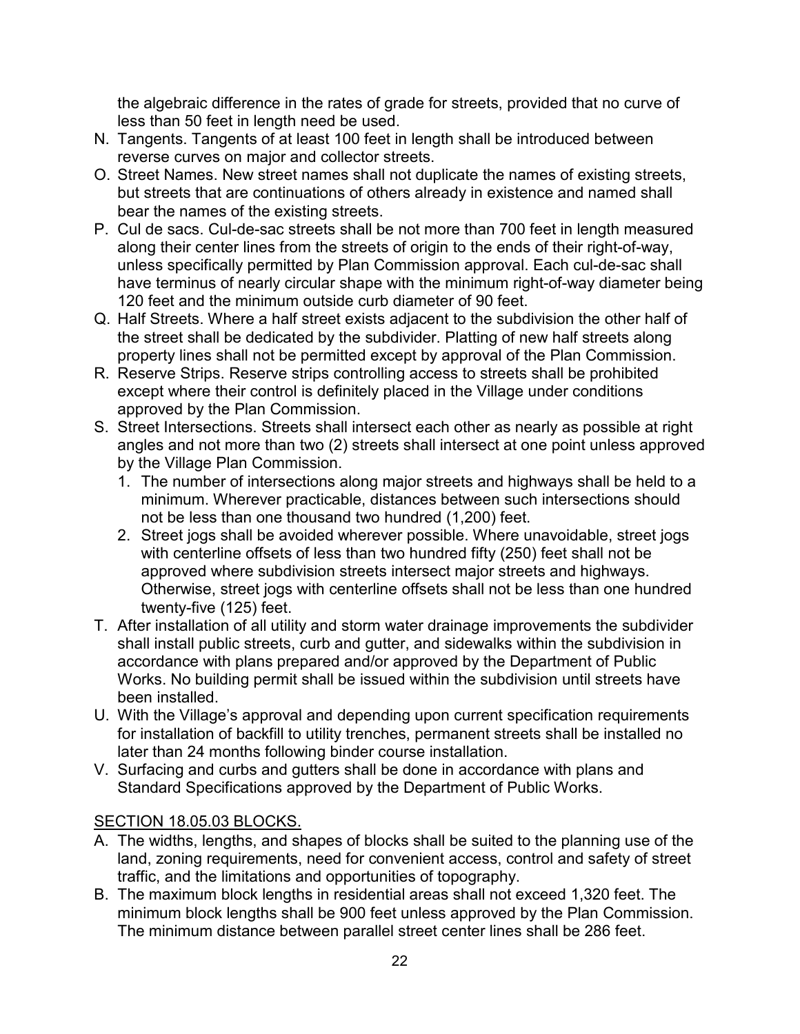the algebraic difference in the rates of grade for streets, provided that no curve of less than 50 feet in length need be used.

- N. Tangents. Tangents of at least 100 feet in length shall be introduced between reverse curves on major and collector streets.
- O. Street Names. New street names shall not duplicate the names of existing streets, but streets that are continuations of others already in existence and named shall bear the names of the existing streets.
- P. Cul de sacs. Cul-de-sac streets shall be not more than 700 feet in length measured along their center lines from the streets of origin to the ends of their right-of-way, unless specifically permitted by Plan Commission approval. Each cul-de-sac shall have terminus of nearly circular shape with the minimum right-of-way diameter being 120 feet and the minimum outside curb diameter of 90 feet.
- Q. Half Streets. Where a half street exists adjacent to the subdivision the other half of the street shall be dedicated by the subdivider. Platting of new half streets along property lines shall not be permitted except by approval of the Plan Commission.
- R. Reserve Strips. Reserve strips controlling access to streets shall be prohibited except where their control is definitely placed in the Village under conditions approved by the Plan Commission.
- S. Street Intersections. Streets shall intersect each other as nearly as possible at right angles and not more than two (2) streets shall intersect at one point unless approved by the Village Plan Commission.
	- 1. The number of intersections along major streets and highways shall be held to a minimum. Wherever practicable, distances between such intersections should not be less than one thousand two hundred (1,200) feet.
	- 2. Street jogs shall be avoided wherever possible. Where unavoidable, street jogs with centerline offsets of less than two hundred fifty (250) feet shall not be approved where subdivision streets intersect major streets and highways. Otherwise, street jogs with centerline offsets shall not be less than one hundred twenty-five (125) feet.
- T. After installation of all utility and storm water drainage improvements the subdivider shall install public streets, curb and gutter, and sidewalks within the subdivision in accordance with plans prepared and/or approved by the Department of Public Works. No building permit shall be issued within the subdivision until streets have been installed.
- U. With the Village's approval and depending upon current specification requirements for installation of backfill to utility trenches, permanent streets shall be installed no later than 24 months following binder course installation.
- V. Surfacing and curbs and gutters shall be done in accordance with plans and Standard Specifications approved by the Department of Public Works.

# <span id="page-21-0"></span>SECTION 18.05.03 BLOCKS.

- A. The widths, lengths, and shapes of blocks shall be suited to the planning use of the land, zoning requirements, need for convenient access, control and safety of street traffic, and the limitations and opportunities of topography.
- B. The maximum block lengths in residential areas shall not exceed 1,320 feet. The minimum block lengths shall be 900 feet unless approved by the Plan Commission. The minimum distance between parallel street center lines shall be 286 feet.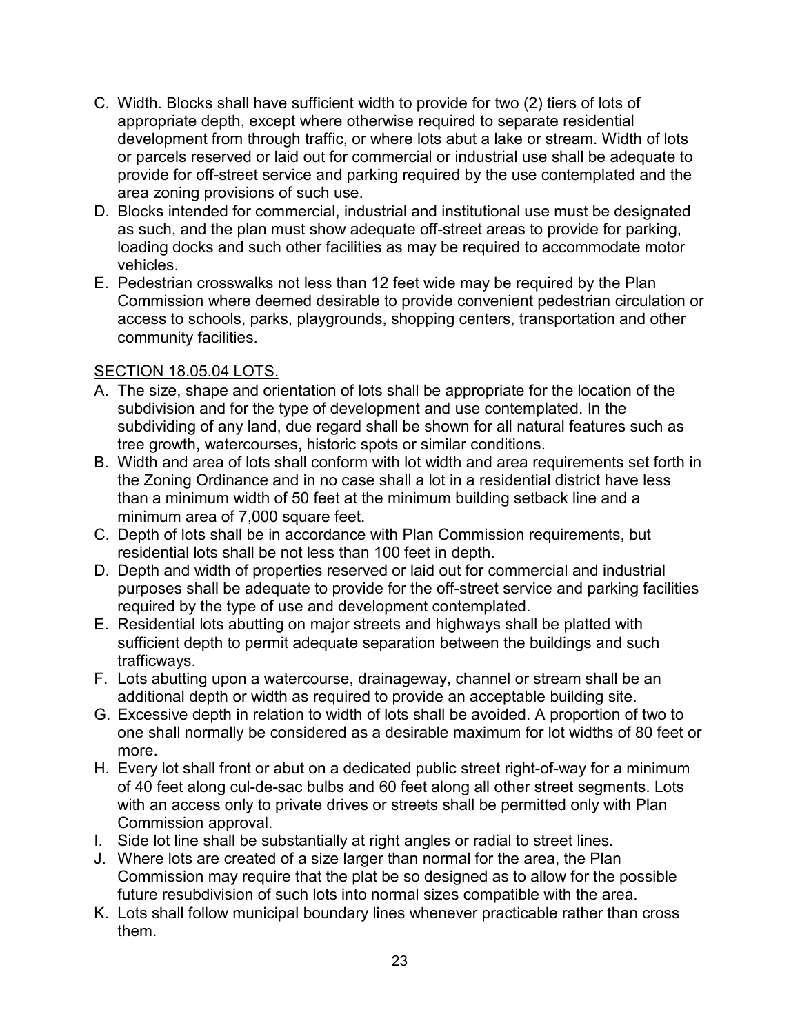- C. Width. Blocks shall have sufficient width to provide for two (2) tiers of lots of appropriate depth, except where otherwise required to separate residential development from through traffic, or where lots abut a lake or stream. Width of lots or parcels reserved or laid out for commercial or industrial use shall be adequate to provide for off-street service and parking required by the use contemplated and the area zoning provisions of such use.
- D. Blocks intended for commercial, industrial and institutional use must be designated as such, and the plan must show adequate off-street areas to provide for parking, loading docks and such other facilities as may be required to accommodate motor vehicles.
- E. Pedestrian crosswalks not less than 12 feet wide may be required by the Plan Commission where deemed desirable to provide convenient pedestrian circulation or access to schools, parks, playgrounds, shopping centers, transportation and other community facilities.

# <span id="page-22-0"></span>SECTION 18.05.04 LOTS.

- A. The size, shape and orientation of lots shall be appropriate for the location of the subdivision and for the type of development and use contemplated. In the subdividing of any land, due regard shall be shown for all natural features such as tree growth, watercourses, historic spots or similar conditions.
- B. Width and area of lots shall conform with lot width and area requirements set forth in the Zoning Ordinance and in no case shall a lot in a residential district have less than a minimum width of 50 feet at the minimum building setback line and a minimum area of 7,000 square feet.
- C. Depth of lots shall be in accordance with Plan Commission requirements, but residential lots shall be not less than 100 feet in depth.
- D. Depth and width of properties reserved or laid out for commercial and industrial purposes shall be adequate to provide for the off-street service and parking facilities required by the type of use and development contemplated.
- E. Residential lots abutting on major streets and highways shall be platted with sufficient depth to permit adequate separation between the buildings and such trafficways.
- F. Lots abutting upon a watercourse, drainageway, channel or stream shall be an additional depth or width as required to provide an acceptable building site.
- G. Excessive depth in relation to width of lots shall be avoided. A proportion of two to one shall normally be considered as a desirable maximum for lot widths of 80 feet or more.
- H. Every lot shall front or abut on a dedicated public street right-of-way for a minimum of 40 feet along cul-de-sac bulbs and 60 feet along all other street segments. Lots with an access only to private drives or streets shall be permitted only with Plan Commission approval.
- I. Side lot line shall be substantially at right angles or radial to street lines.
- J. Where lots are created of a size larger than normal for the area, the Plan Commission may require that the plat be so designed as to allow for the possible future resubdivision of such lots into normal sizes compatible with the area.
- K. Lots shall follow municipal boundary lines whenever practicable rather than cross them.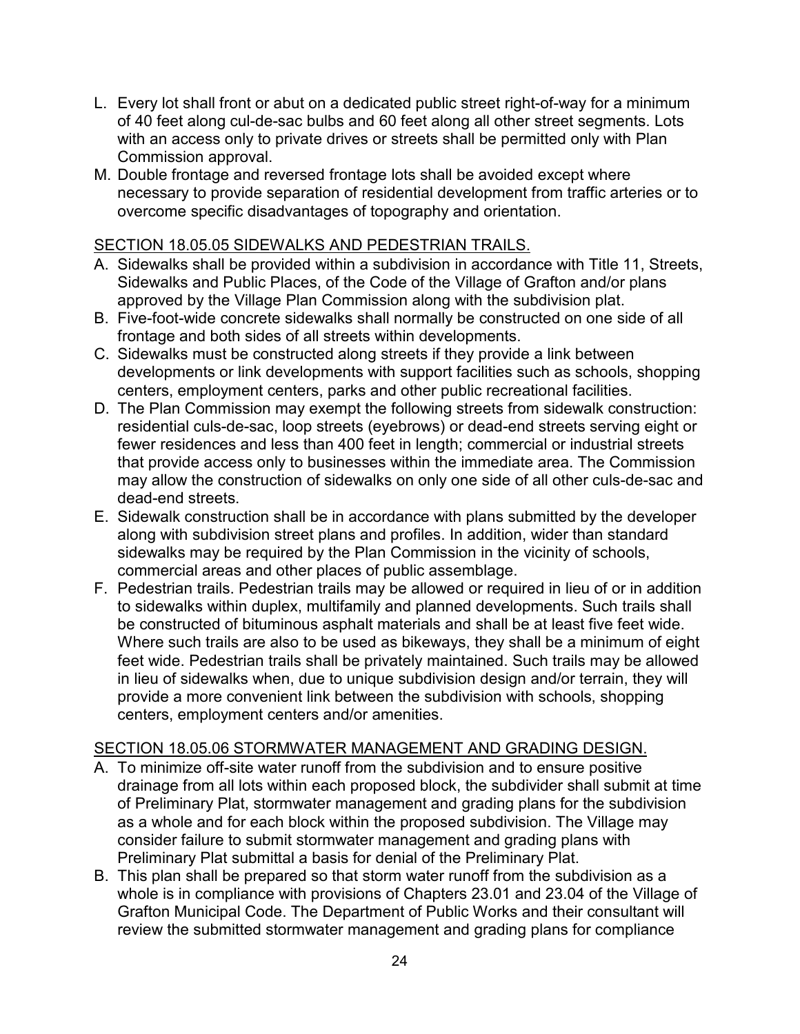- L. Every lot shall front or abut on a dedicated public street right-of-way for a minimum of 40 feet along cul-de-sac bulbs and 60 feet along all other street segments. Lots with an access only to private drives or streets shall be permitted only with Plan Commission approval.
- M. Double frontage and reversed frontage lots shall be avoided except where necessary to provide separation of residential development from traffic arteries or to overcome specific disadvantages of topography and orientation.

#### <span id="page-23-0"></span>SECTION 18.05.05 SIDEWALKS AND PEDESTRIAN TRAILS.

- A. Sidewalks shall be provided within a subdivision in accordance with Title 11, Streets, Sidewalks and Public Places, of the Code of the Village of Grafton and/or plans approved by the Village Plan Commission along with the subdivision plat.
- B. Five-foot-wide concrete sidewalks shall normally be constructed on one side of all frontage and both sides of all streets within developments.
- C. Sidewalks must be constructed along streets if they provide a link between developments or link developments with support facilities such as schools, shopping centers, employment centers, parks and other public recreational facilities.
- D. The Plan Commission may exempt the following streets from sidewalk construction: residential culs-de-sac, loop streets (eyebrows) or dead-end streets serving eight or fewer residences and less than 400 feet in length; commercial or industrial streets that provide access only to businesses within the immediate area. The Commission may allow the construction of sidewalks on only one side of all other culs-de-sac and dead-end streets.
- E. Sidewalk construction shall be in accordance with plans submitted by the developer along with subdivision street plans and profiles. In addition, wider than standard sidewalks may be required by the Plan Commission in the vicinity of schools, commercial areas and other places of public assemblage.
- F. Pedestrian trails. Pedestrian trails may be allowed or required in lieu of or in addition to sidewalks within duplex, multifamily and planned developments. Such trails shall be constructed of bituminous asphalt materials and shall be at least five feet wide. Where such trails are also to be used as bikeways, they shall be a minimum of eight feet wide. Pedestrian trails shall be privately maintained. Such trails may be allowed in lieu of sidewalks when, due to unique subdivision design and/or terrain, they will provide a more convenient link between the subdivision with schools, shopping centers, employment centers and/or amenities.

#### <span id="page-23-1"></span>SECTION 18.05.06 STORMWATER MANAGEMENT AND GRADING DESIGN.

- A. To minimize off-site water runoff from the subdivision and to ensure positive drainage from all lots within each proposed block, the subdivider shall submit at time of Preliminary Plat, stormwater management and grading plans for the subdivision as a whole and for each block within the proposed subdivision. The Village may consider failure to submit stormwater management and grading plans with Preliminary Plat submittal a basis for denial of the Preliminary Plat.
- B. This plan shall be prepared so that storm water runoff from the subdivision as a whole is in compliance with provisions of Chapters 23.01 and 23.04 of the Village of Grafton Municipal Code. The Department of Public Works and their consultant will review the submitted stormwater management and grading plans for compliance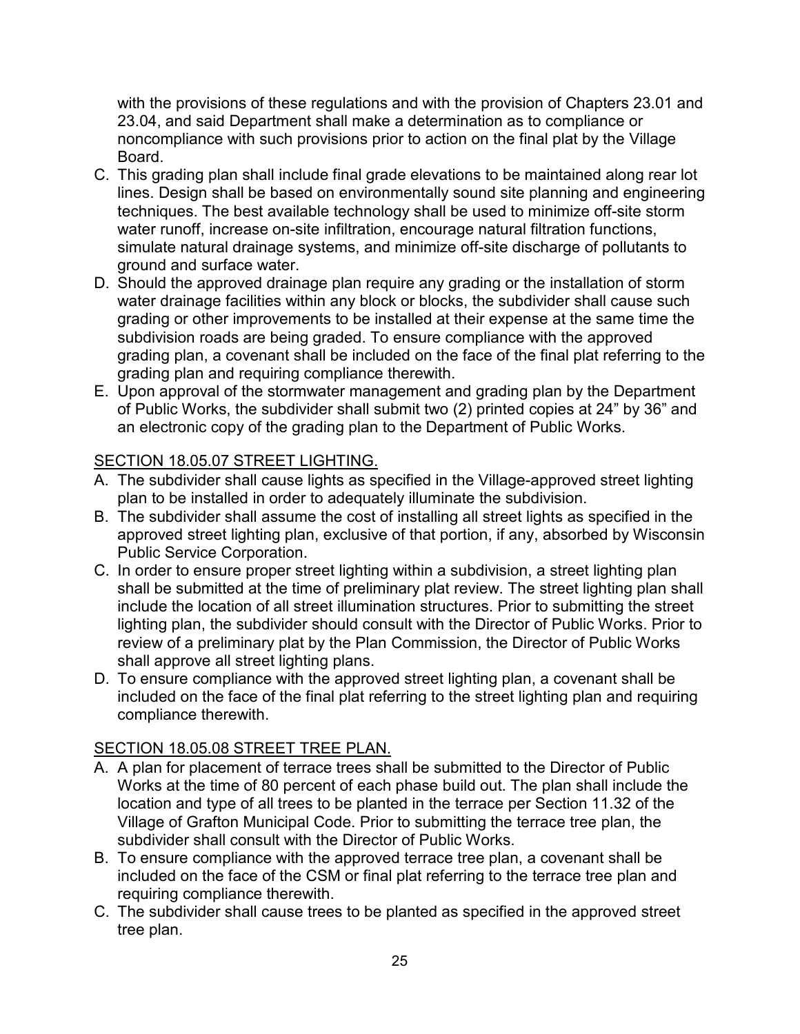with the provisions of these regulations and with the provision of Chapters 23.01 and 23.04, and said Department shall make a determination as to compliance or noncompliance with such provisions prior to action on the final plat by the Village Board.

- C. This grading plan shall include final grade elevations to be maintained along rear lot lines. Design shall be based on environmentally sound site planning and engineering techniques. The best available technology shall be used to minimize off-site storm water runoff, increase on-site infiltration, encourage natural filtration functions, simulate natural drainage systems, and minimize off-site discharge of pollutants to ground and surface water.
- D. Should the approved drainage plan require any grading or the installation of storm water drainage facilities within any block or blocks, the subdivider shall cause such grading or other improvements to be installed at their expense at the same time the subdivision roads are being graded. To ensure compliance with the approved grading plan, a covenant shall be included on the face of the final plat referring to the grading plan and requiring compliance therewith.
- E. Upon approval of the stormwater management and grading plan by the Department of Public Works, the subdivider shall submit two (2) printed copies at 24" by 36" and an electronic copy of the grading plan to the Department of Public Works.

# <span id="page-24-0"></span>SECTION 18.05.07 STREET LIGHTING.

- A. The subdivider shall cause lights as specified in the Village-approved street lighting plan to be installed in order to adequately illuminate the subdivision.
- B. The subdivider shall assume the cost of installing all street lights as specified in the approved street lighting plan, exclusive of that portion, if any, absorbed by Wisconsin Public Service Corporation.
- C. In order to ensure proper street lighting within a subdivision, a street lighting plan shall be submitted at the time of preliminary plat review. The street lighting plan shall include the location of all street illumination structures. Prior to submitting the street lighting plan, the subdivider should consult with the Director of Public Works. Prior to review of a preliminary plat by the Plan Commission, the Director of Public Works shall approve all street lighting plans.
- D. To ensure compliance with the approved street lighting plan, a covenant shall be included on the face of the final plat referring to the street lighting plan and requiring compliance therewith.

# <span id="page-24-1"></span>SECTION 18.05.08 STREET TREE PLAN.

- A. A plan for placement of terrace trees shall be submitted to the Director of Public Works at the time of 80 percent of each phase build out. The plan shall include the location and type of all trees to be planted in the terrace per Section 11.32 of the Village of Grafton Municipal Code. Prior to submitting the terrace tree plan, the subdivider shall consult with the Director of Public Works.
- B. To ensure compliance with the approved terrace tree plan, a covenant shall be included on the face of the CSM or final plat referring to the terrace tree plan and requiring compliance therewith.
- C. The subdivider shall cause trees to be planted as specified in the approved street tree plan.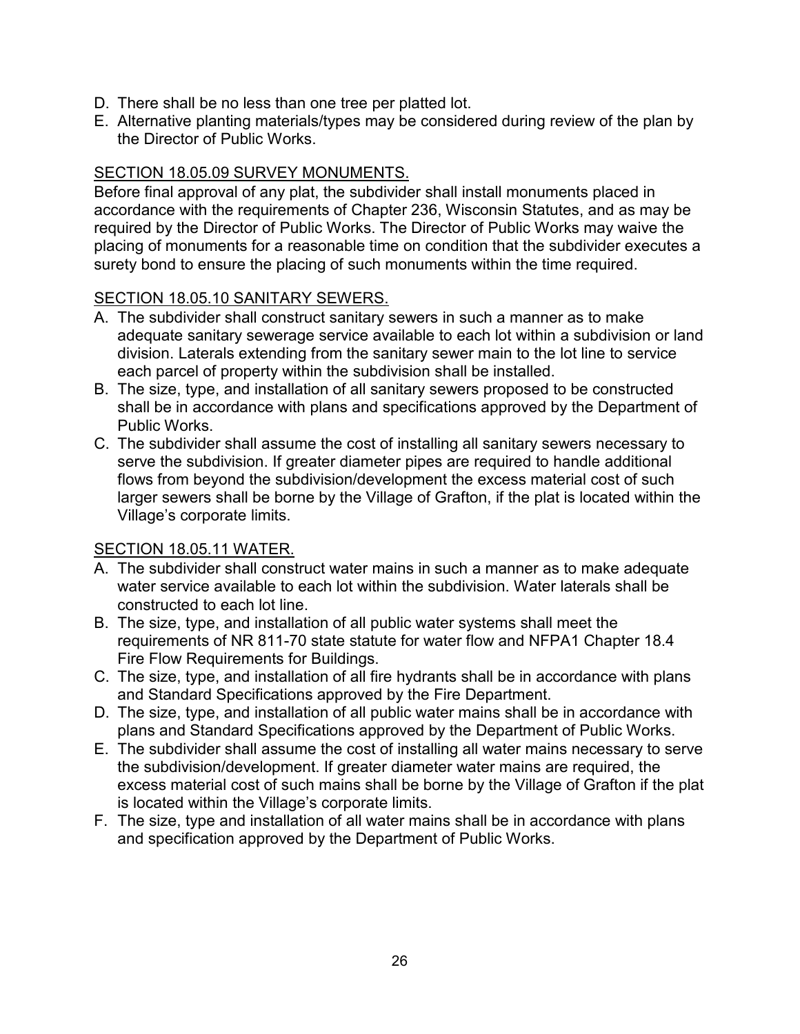- D. There shall be no less than one tree per platted lot.
- E. Alternative planting materials/types may be considered during review of the plan by the Director of Public Works.

## <span id="page-25-0"></span>SECTION 18.05.09 SURVEY MONUMENTS.

Before final approval of any plat, the subdivider shall install monuments placed in accordance with the requirements of Chapter 236, Wisconsin Statutes, and as may be required by the Director of Public Works. The Director of Public Works may waive the placing of monuments for a reasonable time on condition that the subdivider executes a surety bond to ensure the placing of such monuments within the time required.

## <span id="page-25-1"></span>SECTION 18.05.10 SANITARY SEWERS.

- A. The subdivider shall construct sanitary sewers in such a manner as to make adequate sanitary sewerage service available to each lot within a subdivision or land division. Laterals extending from the sanitary sewer main to the lot line to service each parcel of property within the subdivision shall be installed.
- B. The size, type, and installation of all sanitary sewers proposed to be constructed shall be in accordance with plans and specifications approved by the Department of Public Works.
- C. The subdivider shall assume the cost of installing all sanitary sewers necessary to serve the subdivision. If greater diameter pipes are required to handle additional flows from beyond the subdivision/development the excess material cost of such larger sewers shall be borne by the Village of Grafton, if the plat is located within the Village's corporate limits.

#### <span id="page-25-2"></span>SECTION 18.05.11 WATER.

- A. The subdivider shall construct water mains in such a manner as to make adequate water service available to each lot within the subdivision. Water laterals shall be constructed to each lot line.
- B. The size, type, and installation of all public water systems shall meet the requirements of NR 811-70 state statute for water flow and NFPA1 Chapter 18.4 Fire Flow Requirements for Buildings.
- C. The size, type, and installation of all fire hydrants shall be in accordance with plans and Standard Specifications approved by the Fire Department.
- D. The size, type, and installation of all public water mains shall be in accordance with plans and Standard Specifications approved by the Department of Public Works.
- E. The subdivider shall assume the cost of installing all water mains necessary to serve the subdivision/development. If greater diameter water mains are required, the excess material cost of such mains shall be borne by the Village of Grafton if the plat is located within the Village's corporate limits.
- F. The size, type and installation of all water mains shall be in accordance with plans and specification approved by the Department of Public Works.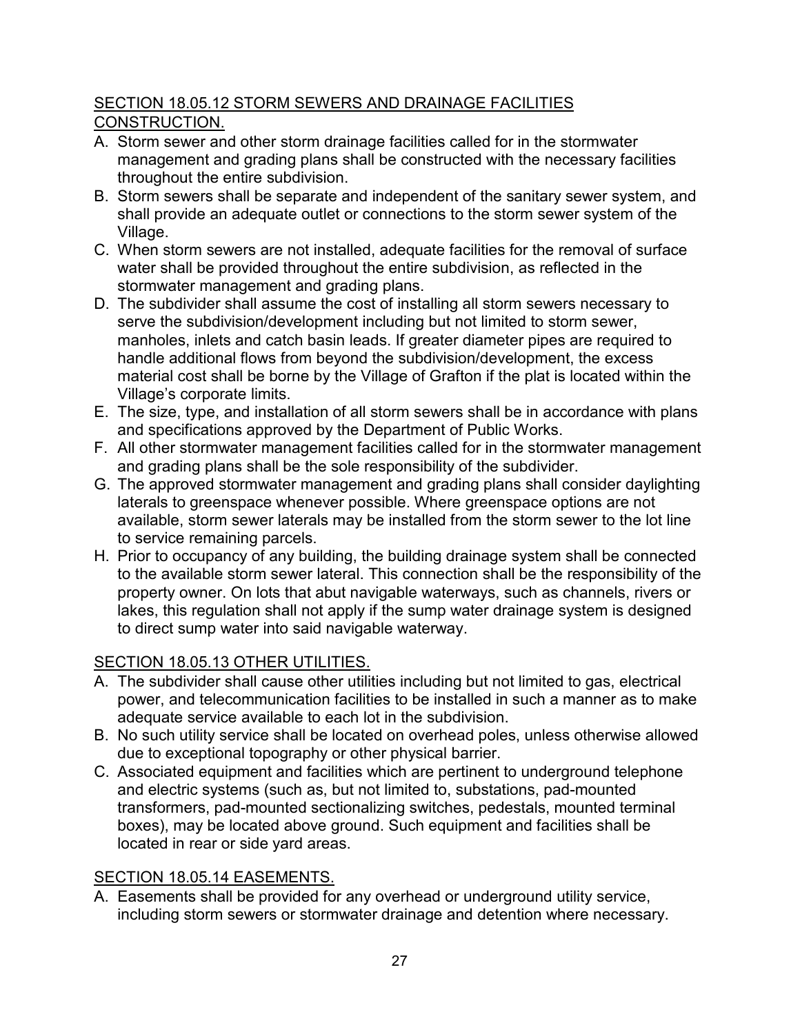# <span id="page-26-0"></span>SECTION 18.05.12 STORM SEWERS AND DRAINAGE FACILITIES CONSTRUCTION.

- A. Storm sewer and other storm drainage facilities called for in the stormwater management and grading plans shall be constructed with the necessary facilities throughout the entire subdivision.
- B. Storm sewers shall be separate and independent of the sanitary sewer system, and shall provide an adequate outlet or connections to the storm sewer system of the Village.
- C. When storm sewers are not installed, adequate facilities for the removal of surface water shall be provided throughout the entire subdivision, as reflected in the stormwater management and grading plans.
- D. The subdivider shall assume the cost of installing all storm sewers necessary to serve the subdivision/development including but not limited to storm sewer, manholes, inlets and catch basin leads. If greater diameter pipes are required to handle additional flows from beyond the subdivision/development, the excess material cost shall be borne by the Village of Grafton if the plat is located within the Village's corporate limits.
- E. The size, type, and installation of all storm sewers shall be in accordance with plans and specifications approved by the Department of Public Works.
- F. All other stormwater management facilities called for in the stormwater management and grading plans shall be the sole responsibility of the subdivider.
- G. The approved stormwater management and grading plans shall consider daylighting laterals to greenspace whenever possible. Where greenspace options are not available, storm sewer laterals may be installed from the storm sewer to the lot line to service remaining parcels.
- H. Prior to occupancy of any building, the building drainage system shall be connected to the available storm sewer lateral. This connection shall be the responsibility of the property owner. On lots that abut navigable waterways, such as channels, rivers or lakes, this regulation shall not apply if the sump water drainage system is designed to direct sump water into said navigable waterway.

# <span id="page-26-1"></span>SECTION 18.05.13 OTHER UTILITIES.

- A. The subdivider shall cause other utilities including but not limited to gas, electrical power, and telecommunication facilities to be installed in such a manner as to make adequate service available to each lot in the subdivision.
- B. No such utility service shall be located on overhead poles, unless otherwise allowed due to exceptional topography or other physical barrier.
- C. Associated equipment and facilities which are pertinent to underground telephone and electric systems (such as, but not limited to, substations, pad-mounted transformers, pad-mounted sectionalizing switches, pedestals, mounted terminal boxes), may be located above ground. Such equipment and facilities shall be located in rear or side yard areas.

# <span id="page-26-2"></span>SECTION 18.05.14 EASEMENTS.

A. Easements shall be provided for any overhead or underground utility service, including storm sewers or stormwater drainage and detention where necessary.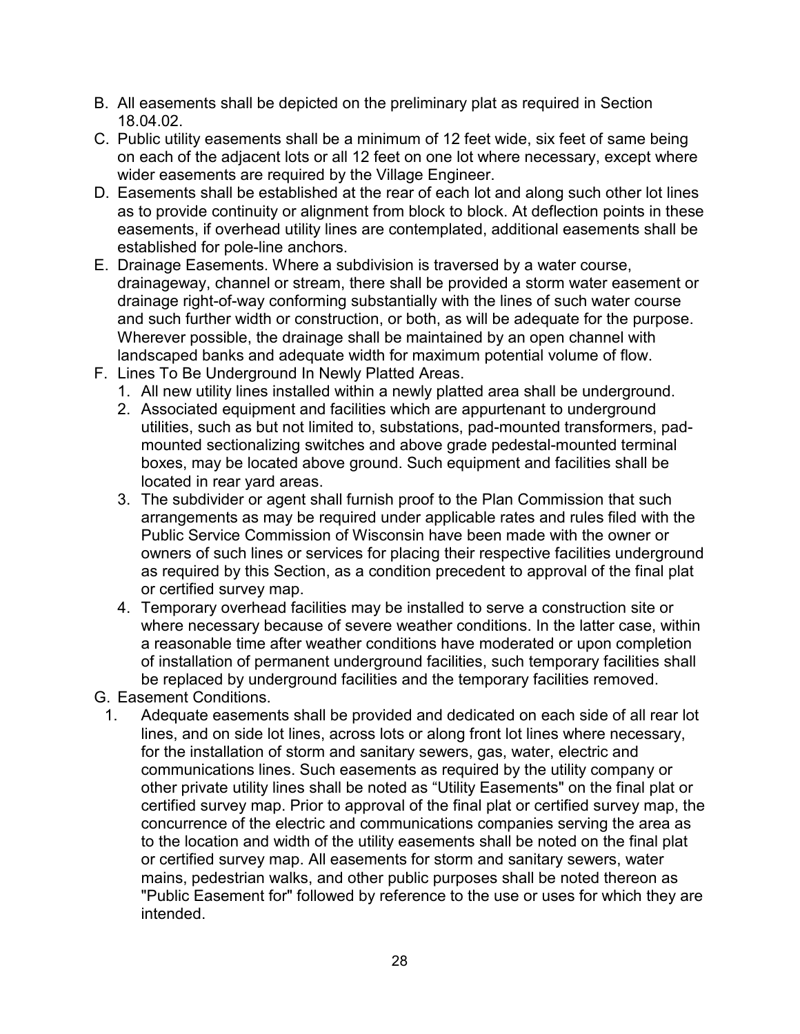- B. All easements shall be depicted on the preliminary plat as required in Section 18.04.02.
- C. Public utility easements shall be a minimum of 12 feet wide, six feet of same being on each of the adjacent lots or all 12 feet on one lot where necessary, except where wider easements are required by the Village Engineer.
- D. Easements shall be established at the rear of each lot and along such other lot lines as to provide continuity or alignment from block to block. At deflection points in these easements, if overhead utility lines are contemplated, additional easements shall be established for pole-line anchors.
- E. Drainage Easements. Where a subdivision is traversed by a water course, drainageway, channel or stream, there shall be provided a storm water easement or drainage right-of-way conforming substantially with the lines of such water course and such further width or construction, or both, as will be adequate for the purpose. Wherever possible, the drainage shall be maintained by an open channel with landscaped banks and adequate width for maximum potential volume of flow.
- F. Lines To Be Underground In Newly Platted Areas.
	- 1. All new utility lines installed within a newly platted area shall be underground.
	- 2. Associated equipment and facilities which are appurtenant to underground utilities, such as but not limited to, substations, pad-mounted transformers, padmounted sectionalizing switches and above grade pedestal-mounted terminal boxes, may be located above ground. Such equipment and facilities shall be located in rear yard areas.
	- 3. The subdivider or agent shall furnish proof to the Plan Commission that such arrangements as may be required under applicable rates and rules filed with the Public Service Commission of Wisconsin have been made with the owner or owners of such lines or services for placing their respective facilities underground as required by this Section, as a condition precedent to approval of the final plat or certified survey map.
	- 4. Temporary overhead facilities may be installed to serve a construction site or where necessary because of severe weather conditions. In the latter case, within a reasonable time after weather conditions have moderated or upon completion of installation of permanent underground facilities, such temporary facilities shall be replaced by underground facilities and the temporary facilities removed.
- G. Easement Conditions.
- 1. Adequate easements shall be provided and dedicated on each side of all rear lot lines, and on side lot lines, across lots or along front lot lines where necessary, for the installation of storm and sanitary sewers, gas, water, electric and communications lines. Such easements as required by the utility company or other private utility lines shall be noted as "Utility Easements" on the final plat or certified survey map. Prior to approval of the final plat or certified survey map, the concurrence of the electric and communications companies serving the area as to the location and width of the utility easements shall be noted on the final plat or certified survey map. All easements for storm and sanitary sewers, water mains, pedestrian walks, and other public purposes shall be noted thereon as "Public Easement for" followed by reference to the use or uses for which they are intended.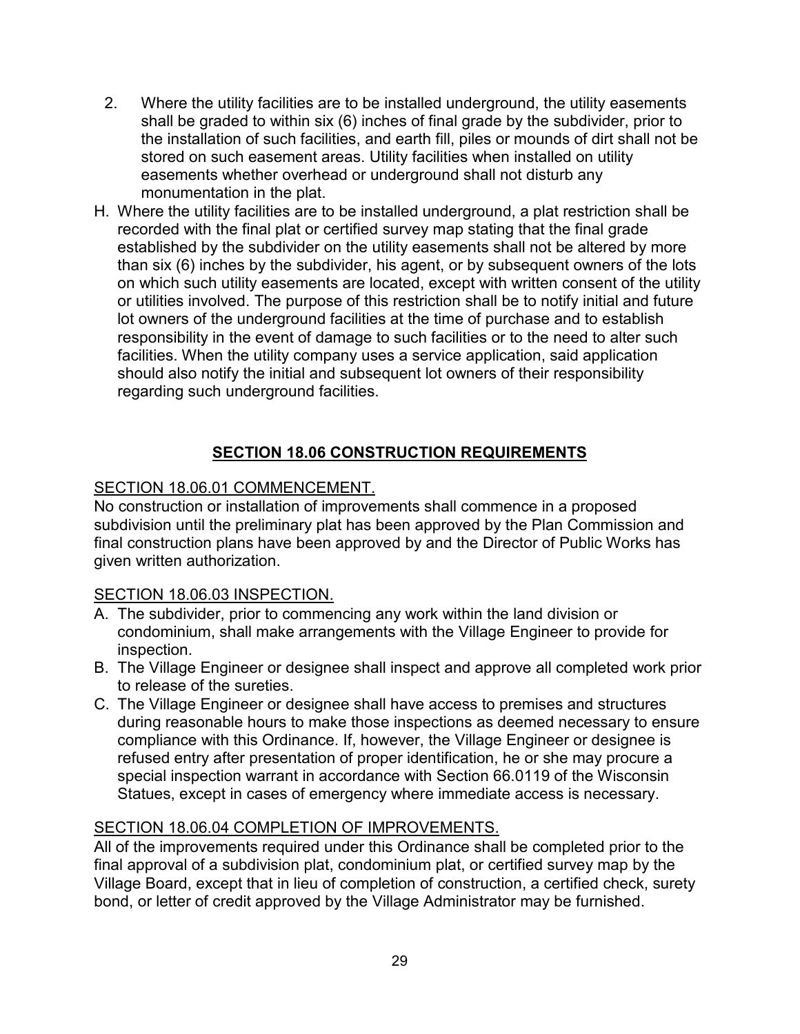- 2. Where the utility facilities are to be installed underground, the utility easements shall be graded to within six (6) inches of final grade by the subdivider, prior to the installation of such facilities, and earth fill, piles or mounds of dirt shall not be stored on such easement areas. Utility facilities when installed on utility easements whether overhead or underground shall not disturb any monumentation in the plat.
- H. Where the utility facilities are to be installed underground, a plat restriction shall be recorded with the final plat or certified survey map stating that the final grade established by the subdivider on the utility easements shall not be altered by more than six (6) inches by the subdivider, his agent, or by subsequent owners of the lots on which such utility easements are located, except with written consent of the utility or utilities involved. The purpose of this restriction shall be to notify initial and future lot owners of the underground facilities at the time of purchase and to establish responsibility in the event of damage to such facilities or to the need to alter such facilities. When the utility company uses a service application, said application should also notify the initial and subsequent lot owners of their responsibility regarding such underground facilities.

## **SECTION 18.06 CONSTRUCTION REQUIREMENTS**

# <span id="page-28-1"></span><span id="page-28-0"></span>SECTION 18.06.01 COMMENCEMENT.

No construction or installation of improvements shall commence in a proposed subdivision until the preliminary plat has been approved by the Plan Commission and final construction plans have been approved by and the Director of Public Works has given written authorization.

## <span id="page-28-2"></span>SECTION 18.06.03 INSPECTION.

- A. The subdivider, prior to commencing any work within the land division or condominium, shall make arrangements with the Village Engineer to provide for inspection.
- B. The Village Engineer or designee shall inspect and approve all completed work prior to release of the sureties.
- C. The Village Engineer or designee shall have access to premises and structures during reasonable hours to make those inspections as deemed necessary to ensure compliance with this Ordinance. If, however, the Village Engineer or designee is refused entry after presentation of proper identification, he or she may procure a special inspection warrant in accordance with Section 66.0119 of the Wisconsin Statues, except in cases of emergency where immediate access is necessary.

## <span id="page-28-3"></span>SECTION 18.06.04 COMPLETION OF IMPROVEMENTS.

All of the improvements required under this Ordinance shall be completed prior to the final approval of a subdivision plat, condominium plat, or certified survey map by the Village Board, except that in lieu of completion of construction, a certified check, surety bond, or letter of credit approved by the Village Administrator may be furnished.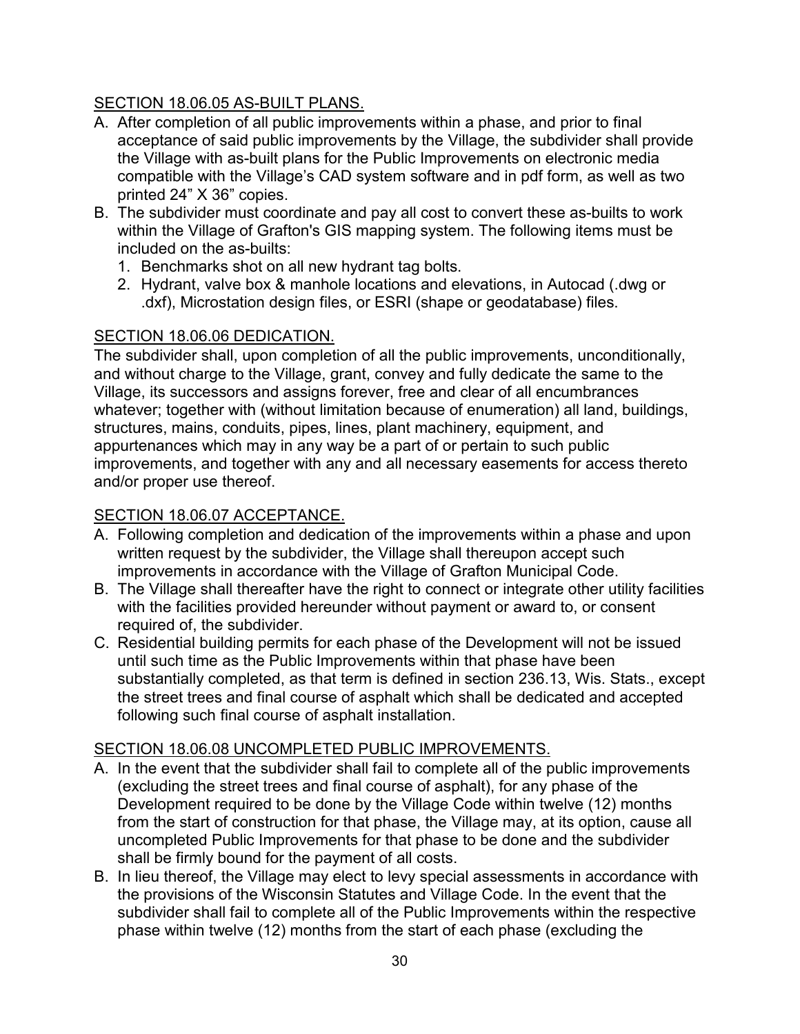# <span id="page-29-0"></span>SECTION 18.06.05 AS-BUILT PLANS.

- A. After completion of all public improvements within a phase, and prior to final acceptance of said public improvements by the Village, the subdivider shall provide the Village with as-built plans for the Public Improvements on electronic media compatible with the Village's CAD system software and in pdf form, as well as two printed 24" X 36" copies.
- B. The subdivider must coordinate and pay all cost to convert these as-builts to work within the Village of Grafton's GIS mapping system. The following items must be included on the as-builts:
	- 1. Benchmarks shot on all new hydrant tag bolts.
	- 2. Hydrant, valve box & manhole locations and elevations, in Autocad (.dwg or .dxf), Microstation design files, or ESRI (shape or geodatabase) files.

# <span id="page-29-1"></span>SECTION 18.06.06 DEDICATION.

The subdivider shall, upon completion of all the public improvements, unconditionally, and without charge to the Village, grant, convey and fully dedicate the same to the Village, its successors and assigns forever, free and clear of all encumbrances whatever; together with (without limitation because of enumeration) all land, buildings, structures, mains, conduits, pipes, lines, plant machinery, equipment, and appurtenances which may in any way be a part of or pertain to such public improvements, and together with any and all necessary easements for access thereto and/or proper use thereof.

# <span id="page-29-2"></span>SECTION 18.06.07 ACCEPTANCE.

- A. Following completion and dedication of the improvements within a phase and upon written request by the subdivider, the Village shall thereupon accept such improvements in accordance with the Village of Grafton Municipal Code.
- B. The Village shall thereafter have the right to connect or integrate other utility facilities with the facilities provided hereunder without payment or award to, or consent required of, the subdivider.
- C. Residential building permits for each phase of the Development will not be issued until such time as the Public Improvements within that phase have been substantially completed, as that term is defined in section 236.13, Wis. Stats., except the street trees and final course of asphalt which shall be dedicated and accepted following such final course of asphalt installation.

# <span id="page-29-3"></span>SECTION 18.06.08 UNCOMPLETED PUBLIC IMPROVEMENTS.

- A. In the event that the subdivider shall fail to complete all of the public improvements (excluding the street trees and final course of asphalt), for any phase of the Development required to be done by the Village Code within twelve (12) months from the start of construction for that phase, the Village may, at its option, cause all uncompleted Public Improvements for that phase to be done and the subdivider shall be firmly bound for the payment of all costs.
- B. In lieu thereof, the Village may elect to levy special assessments in accordance with the provisions of the Wisconsin Statutes and Village Code. In the event that the subdivider shall fail to complete all of the Public Improvements within the respective phase within twelve (12) months from the start of each phase (excluding the